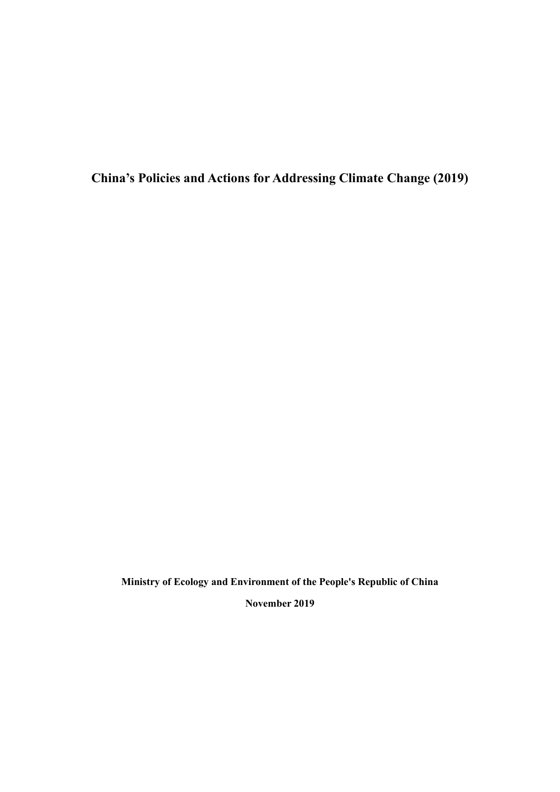**China's Policies and Actions for Addressing Climate Change (2019)**

**Ministry of Ecology and Environment of the People's Republic of China**

**November 2019**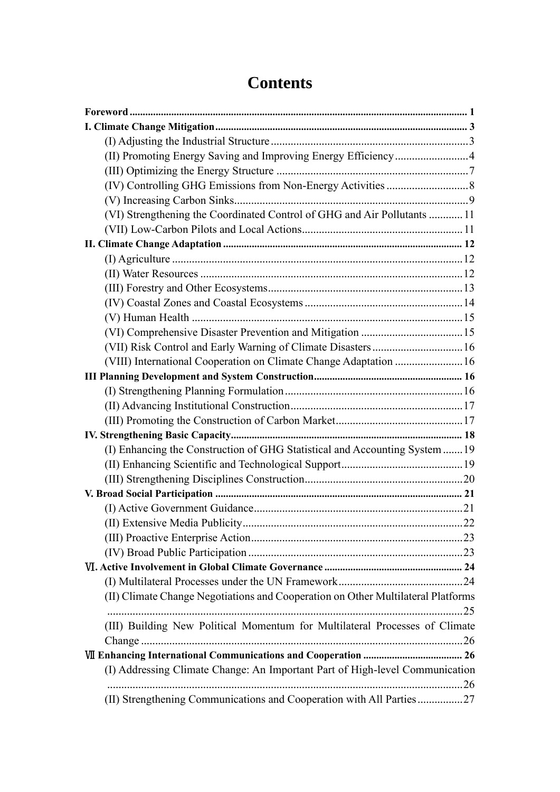# **Contents**

| (II) Promoting Energy Saving and Improving Energy Efficiency4                    |  |
|----------------------------------------------------------------------------------|--|
|                                                                                  |  |
|                                                                                  |  |
|                                                                                  |  |
| (VI) Strengthening the Coordinated Control of GHG and Air Pollutants  11         |  |
|                                                                                  |  |
|                                                                                  |  |
|                                                                                  |  |
|                                                                                  |  |
|                                                                                  |  |
|                                                                                  |  |
|                                                                                  |  |
|                                                                                  |  |
| (VII) Risk Control and Early Warning of Climate Disasters 16                     |  |
| (VIII) International Cooperation on Climate Change Adaptation  16                |  |
|                                                                                  |  |
|                                                                                  |  |
|                                                                                  |  |
|                                                                                  |  |
|                                                                                  |  |
| (I) Enhancing the Construction of GHG Statistical and Accounting System 19       |  |
|                                                                                  |  |
|                                                                                  |  |
|                                                                                  |  |
|                                                                                  |  |
|                                                                                  |  |
|                                                                                  |  |
|                                                                                  |  |
|                                                                                  |  |
|                                                                                  |  |
| (II) Climate Change Negotiations and Cooperation on Other Multilateral Platforms |  |
| (III) Building New Political Momentum for Multilateral Processes of Climate      |  |
|                                                                                  |  |
|                                                                                  |  |
| (I) Addressing Climate Change: An Important Part of High-level Communication     |  |
| (II) Strengthening Communications and Cooperation with All Parties27             |  |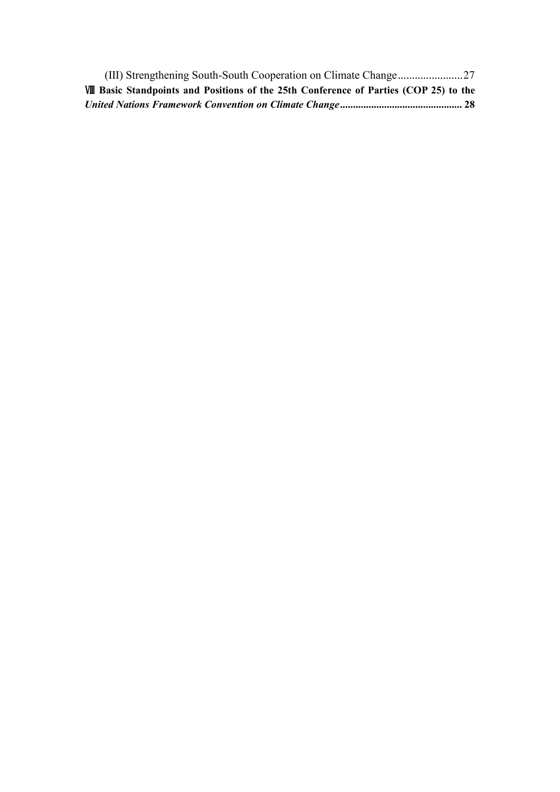|  | VIII Basic Standpoints and Positions of the 25th Conference of Parties (COP 25) to the |  |
|--|----------------------------------------------------------------------------------------|--|
|  |                                                                                        |  |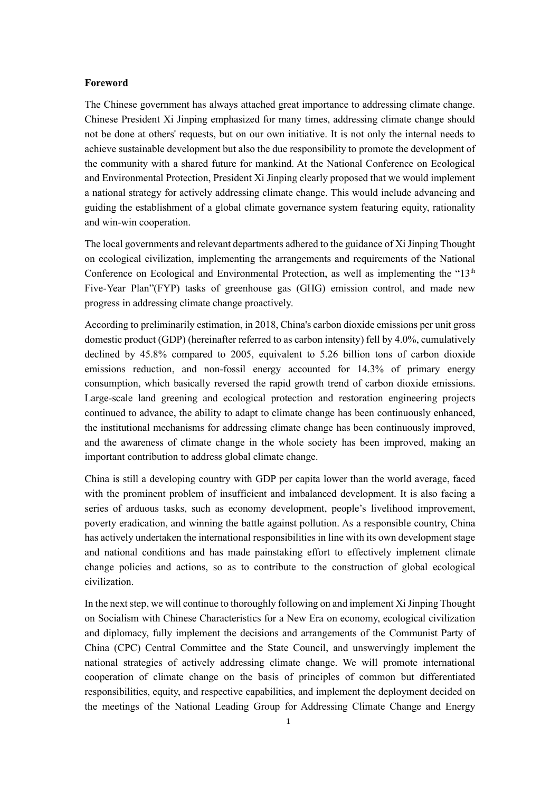#### <span id="page-3-0"></span>**Foreword**

The Chinese government has always attached great importance to addressing climate change. Chinese President Xi Jinping emphasized for many times, addressing climate change should not be done at others' requests, but on our own initiative. It is not only the internal needs to achieve sustainable development but also the due responsibility to promote the development of the community with a shared future for mankind. At the National Conference on Ecological and Environmental Protection, President Xi Jinping clearly proposed that we would implement a national strategy for actively addressing climate change. This would include advancing and guiding the establishment of a global climate governance system featuring equity, rationality and win-win cooperation.

The local governments and relevant departments adhered to the guidance of Xi Jinping Thought on ecological civilization, implementing the arrangements and requirements of the National Conference on Ecological and Environmental Protection, as well as implementing the "13<sup>th</sup> Five-Year Plan"(FYP) tasks of greenhouse gas (GHG) emission control, and made new progress in addressing climate change proactively.

According to preliminarily estimation, in 2018, China's carbon dioxide emissions per unit gross domestic product (GDP) (hereinafter referred to as carbon intensity) fell by 4.0%, cumulatively declined by 45.8% compared to 2005, equivalent to 5.26 billion tons of carbon dioxide emissions reduction, and non-fossil energy accounted for 14.3% of primary energy consumption, which basically reversed the rapid growth trend of carbon dioxide emissions. Large-scale land greening and ecological protection and restoration engineering projects continued to advance, the ability to adapt to climate change has been continuously enhanced, the institutional mechanisms for addressing climate change has been continuously improved, and the awareness of climate change in the whole society has been improved, making an important contribution to address global climate change.

China is still a developing country with GDP per capita lower than the world average, faced with the prominent problem of insufficient and imbalanced development. It is also facing a series of arduous tasks, such as economy development, people's livelihood improvement, poverty eradication, and winning the battle against pollution. As a responsible country, China has actively undertaken the international responsibilities in line with its own development stage and national conditions and has made painstaking effort to effectively implement climate change policies and actions, so as to contribute to the construction of global ecological civilization.

In the next step, we will continue to thoroughly following on and implement Xi Jinping Thought on Socialism with Chinese Characteristics for a New Era on economy, ecological civilization and diplomacy, fully implement the decisions and arrangements of the Communist Party of China (CPC) Central Committee and the State Council, and unswervingly implement the national strategies of actively addressing climate change. We will promote international cooperation of climate change on the basis of principles of common but differentiated responsibilities, equity, and respective capabilities, and implement the deployment decided on the meetings of the National Leading Group for Addressing Climate Change and Energy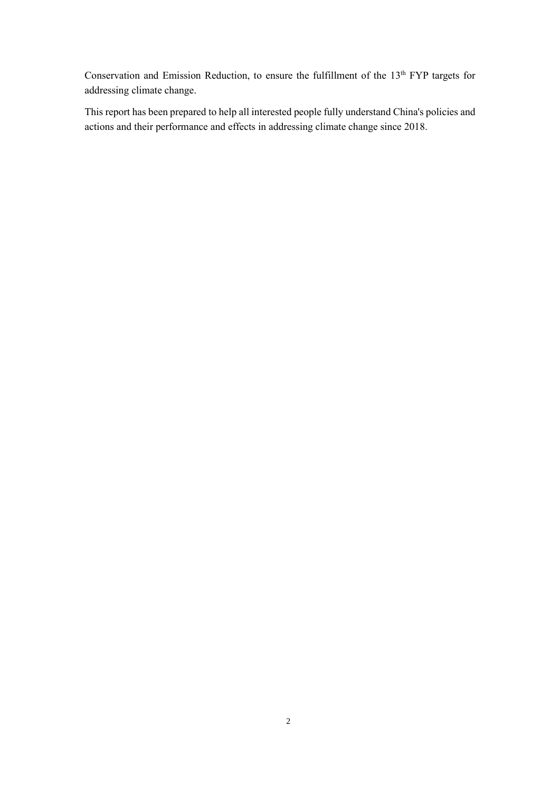Conservation and Emission Reduction, to ensure the fulfillment of the 13<sup>th</sup> FYP targets for addressing climate change.

This report has been prepared to help all interested people fully understand China's policies and actions and their performance and effects in addressing climate change since 2018.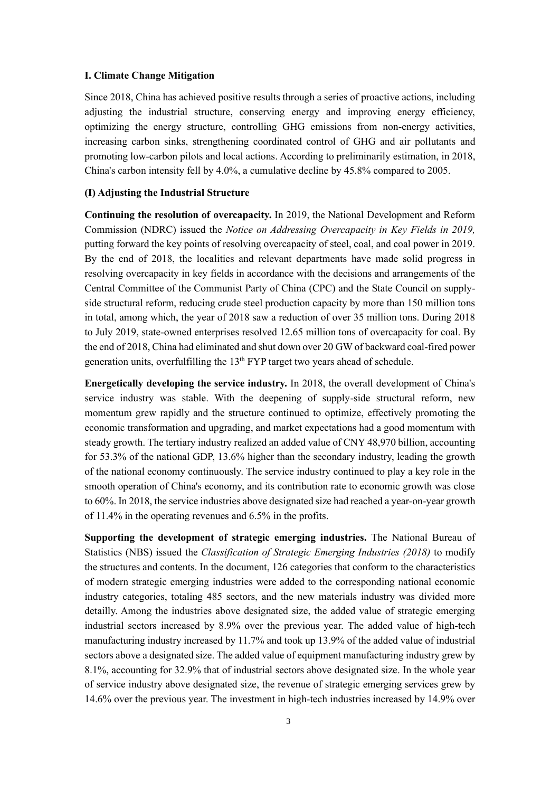#### <span id="page-5-0"></span>**I. Climate Change Mitigation**

Since 2018, China has achieved positive results through a series of proactive actions, including adjusting the industrial structure, conserving energy and improving energy efficiency, optimizing the energy structure, controlling GHG emissions from non-energy activities, increasing carbon sinks, strengthening coordinated control of GHG and air pollutants and promoting low-carbon pilots and local actions. According to preliminarily estimation, in 2018, China's carbon intensity fell by 4.0%, a cumulative decline by 45.8% compared to 2005.

#### <span id="page-5-1"></span>**(I) Adjusting the Industrial Structure**

**Continuing the resolution of overcapacity.** In 2019, the National Development and Reform Commission (NDRC) issued the *Notice on Addressing Overcapacity in Key Fields in 2019,* putting forward the key points of resolving overcapacity of steel, coal, and coal power in 2019. By the end of 2018, the localities and relevant departments have made solid progress in resolving overcapacity in key fields in accordance with the decisions and arrangements of the Central Committee of the Communist Party of China (CPC) and the State Council on supplyside structural reform, reducing crude steel production capacity by more than 150 million tons in total, among which, the year of 2018 saw a reduction of over 35 million tons. During 2018 to July 2019, state-owned enterprises resolved 12.65 million tons of overcapacity for coal. By the end of 2018, China had eliminated and shut down over 20 GW of backward coal-fired power generation units, overfulfilling the 13<sup>th</sup> FYP target two years ahead of schedule.

**Energetically developing the service industry.** In 2018, the overall development of China's service industry was stable. With the deepening of supply-side structural reform, new momentum grew rapidly and the structure continued to optimize, effectively promoting the economic transformation and upgrading, and market expectations had a good momentum with steady growth. The tertiary industry realized an added value of CNY 48,970 billion, accounting for 53.3% of the national GDP, 13.6% higher than the secondary industry, leading the growth of the national economy continuously. The service industry continued to play a key role in the smooth operation of China's economy, and its contribution rate to economic growth was close to 60%. In 2018, the service industries above designated size had reached a year-on-year growth of 11.4% in the operating revenues and 6.5% in the profits.

**Supporting the development of strategic emerging industries.** The National Bureau of Statistics (NBS) issued the *Classification of Strategic Emerging Industries (2018)* to modify the structures and contents. In the document, 126 categories that conform to the characteristics of modern strategic emerging industries were added to the corresponding national economic industry categories, totaling 485 sectors, and the new materials industry was divided more detailly. Among the industries above designated size, the added value of strategic emerging industrial sectors increased by 8.9% over the previous year. The added value of high-tech manufacturing industry increased by 11.7% and took up 13.9% of the added value of industrial sectors above a designated size. The added value of equipment manufacturing industry grew by 8.1%, accounting for 32.9% that of industrial sectors above designated size. In the whole year of service industry above designated size, the revenue of strategic emerging services grew by 14.6% over the previous year. The investment in high-tech industries increased by 14.9% over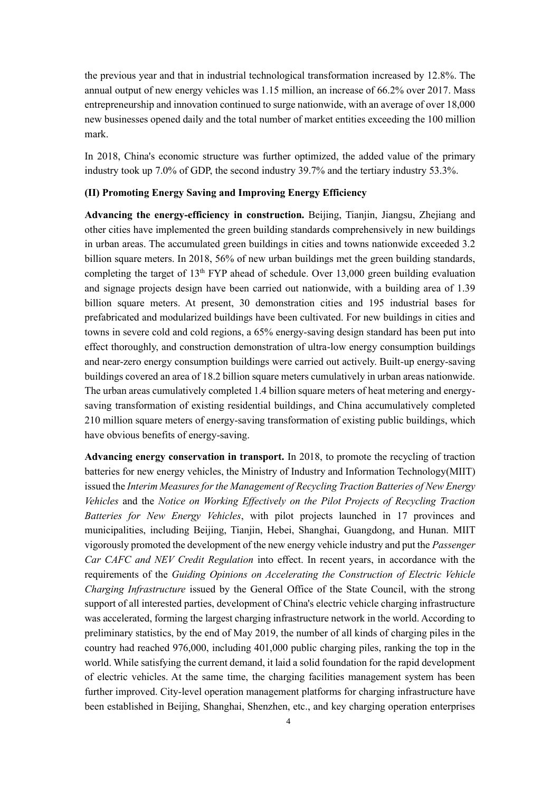the previous year and that in industrial technological transformation increased by 12.8%. The annual output of new energy vehicles was 1.15 million, an increase of 66.2% over 2017. Mass entrepreneurship and innovation continued to surge nationwide, with an average of over 18,000 new businesses opened daily and the total number of market entities exceeding the 100 million mark.

In 2018, China's economic structure was further optimized, the added value of the primary industry took up 7.0% of GDP, the second industry 39.7% and the tertiary industry 53.3%.

# <span id="page-6-0"></span>**(II) Promoting Energy Saving and Improving Energy Efficiency**

**Advancing the energy-efficiency in construction.** Beijing, Tianjin, Jiangsu, Zhejiang and other cities have implemented the green building standards comprehensively in new buildings in urban areas. The accumulated green buildings in cities and towns nationwide exceeded 3.2 billion square meters. In 2018, 56% of new urban buildings met the green building standards, completing the target of  $13<sup>th</sup> FYP$  ahead of schedule. Over 13,000 green building evaluation and signage projects design have been carried out nationwide, with a building area of 1.39 billion square meters. At present, 30 demonstration cities and 195 industrial bases for prefabricated and modularized buildings have been cultivated. For new buildings in cities and towns in severe cold and cold regions, a 65% energy-saving design standard has been put into effect thoroughly, and construction demonstration of ultra-low energy consumption buildings and near-zero energy consumption buildings were carried out actively. Built-up energy-saving buildings covered an area of 18.2 billion square meters cumulatively in urban areas nationwide. The urban areas cumulatively completed 1.4 billion square meters of heat metering and energysaving transformation of existing residential buildings, and China accumulatively completed 210 million square meters of energy-saving transformation of existing public buildings, which have obvious benefits of energy-saving.

**Advancing energy conservation in transport.** In 2018, to promote the recycling of traction batteries for new energy vehicles, the Ministry of Industry and Information Technology(MIIT) issued the *Interim Measures for the Management of Recycling Traction Batteries of New Energy Vehicles* and the *Notice on Working Effectively on the Pilot Projects of Recycling Traction Batteries for New Energy Vehicles*, with pilot projects launched in 17 provinces and municipalities, including Beijing, Tianjin, Hebei, Shanghai, Guangdong, and Hunan. MIIT vigorously promoted the development of the new energy vehicle industry and put the *Passenger Car CAFC and NEV Credit Regulation* into effect. In recent years, in accordance with the requirements of the *Guiding Opinions on Accelerating the Construction of Electric Vehicle Charging Infrastructure* issued by the General Office of the State Council, with the strong support of all interested parties, development of China's electric vehicle charging infrastructure was accelerated, forming the largest charging infrastructure network in the world. According to preliminary statistics, by the end of May 2019, the number of all kinds of charging piles in the country had reached 976,000, including 401,000 public charging piles, ranking the top in the world. While satisfying the current demand, it laid a solid foundation for the rapid development of electric vehicles. At the same time, the charging facilities management system has been further improved. City-level operation management platforms for charging infrastructure have been established in Beijing, Shanghai, Shenzhen, etc., and key charging operation enterprises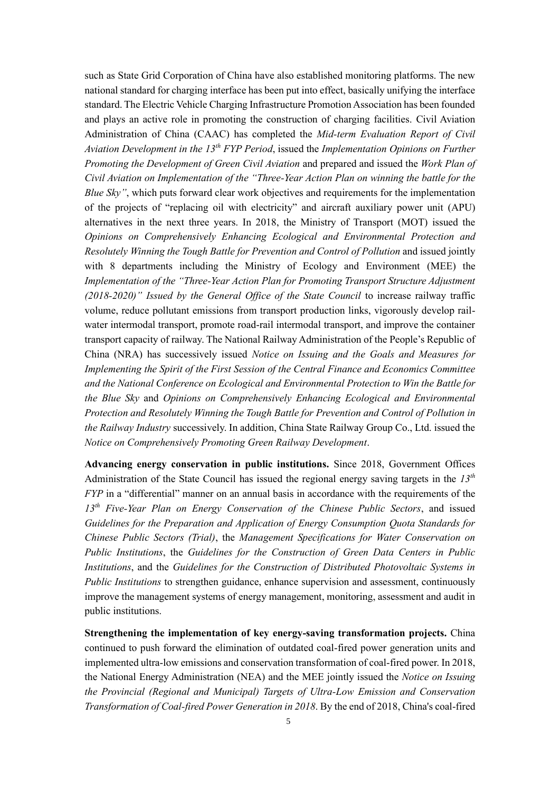such as State Grid Corporation of China have also established monitoring platforms. The new national standard for charging interface has been put into effect, basically unifying the interface standard. The Electric Vehicle Charging Infrastructure Promotion Association has been founded and plays an active role in promoting the construction of charging facilities. Civil Aviation Administration of China (CAAC) has completed the *Mid-term Evaluation Report of Civil Aviation Development in the 13th FYP Period*, issued the *Implementation Opinions on Further Promoting the Development of Green Civil Aviation* and prepared and issued the *Work Plan of Civil Aviation on Implementation of the "Three-Year Action Plan on winning the battle for the Blue Sky"*, which puts forward clear work objectives and requirements for the implementation of the projects of "replacing oil with electricity" and aircraft auxiliary power unit (APU) alternatives in the next three years. In 2018, the Ministry of Transport (MOT) issued the *Opinions on Comprehensively Enhancing Ecological and Environmental Protection and Resolutely Winning the Tough Battle for Prevention and Control of Pollution* and issued jointly with 8 departments including the Ministry of Ecology and Environment (MEE) the *Implementation of the "Three-Year Action Plan for Promoting Transport Structure Adjustment (2018-2020)" Issued by the General Office of the State Council* to increase railway traffic volume, reduce pollutant emissions from transport production links, vigorously develop railwater intermodal transport, promote road-rail intermodal transport, and improve the container transport capacity of railway. The National Railway Administration of the People's Republic of China (NRA) has successively issued *Notice on Issuing and the Goals and Measures for Implementing the Spirit of the First Session of the Central Finance and Economics Committee and the National Conference on Ecological and Environmental Protection to Win the Battle for the Blue Sky* and *Opinions on Comprehensively Enhancing Ecological and Environmental Protection and Resolutely Winning the Tough Battle for Prevention and Control of Pollution in the Railway Industry* successively. In addition, China State Railway Group Co., Ltd. issued the *Notice on Comprehensively Promoting Green Railway Development*.

**Advancing energy conservation in public institutions.** Since 2018, Government Offices Administration of the State Council has issued the regional energy saving targets in the *13th FYP* in a "differential" manner on an annual basis in accordance with the requirements of the *13th Five-Year Plan on Energy Conservation of the Chinese Public Sectors*, and issued *Guidelines for the Preparation and Application of Energy Consumption Quota Standards for Chinese Public Sectors (Trial)*, the *Management Specifications for Water Conservation on Public Institutions*, the *Guidelines for the Construction of Green Data Centers in Public Institutions*, and the *Guidelines for the Construction of Distributed Photovoltaic Systems in Public Institutions* to strengthen guidance, enhance supervision and assessment, continuously improve the management systems of energy management, monitoring, assessment and audit in public institutions.

**Strengthening the implementation of key energy-saving transformation projects.** China continued to push forward the elimination of outdated coal-fired power generation units and implemented ultra-low emissions and conservation transformation of coal-fired power. In 2018, the National Energy Administration (NEA) and the MEE jointly issued the *Notice on Issuing the Provincial (Regional and Municipal) Targets of Ultra-Low Emission and Conservation Transformation of Coal-fired Power Generation in 2018*. By the end of 2018, China's coal-fired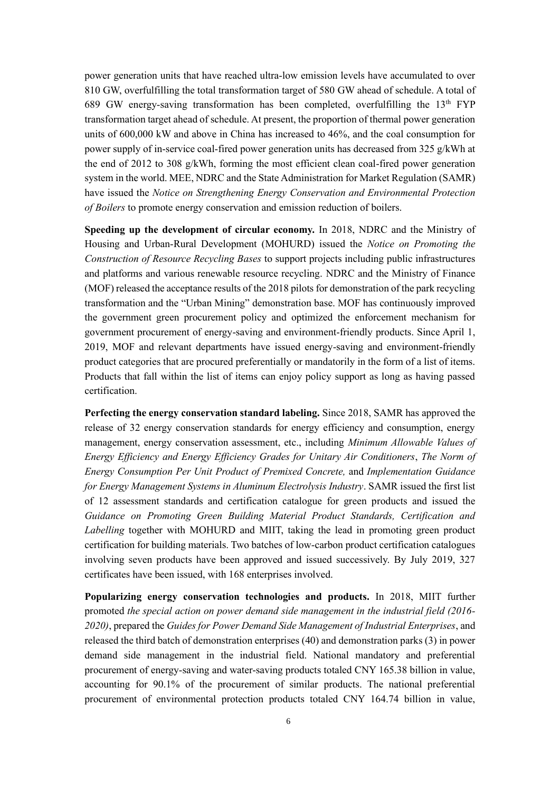power generation units that have reached ultra-low emission levels have accumulated to over 810 GW, overfulfilling the total transformation target of 580 GW ahead of schedule. A total of 689 GW energy-saving transformation has been completed, overfulfilling the  $13<sup>th</sup> FYP$ transformation target ahead of schedule. At present, the proportion of thermal power generation units of 600,000 kW and above in China has increased to 46%, and the coal consumption for power supply of in-service coal-fired power generation units has decreased from 325 g/kWh at the end of 2012 to 308  $g/kWh$ , forming the most efficient clean coal-fired power generation system in the world. MEE, NDRC and the State Administration for Market Regulation (SAMR) have issued the *Notice on Strengthening Energy Conservation and Environmental Protection of Boilers* to promote energy conservation and emission reduction of boilers.

**Speeding up the development of circular economy.** In 2018, NDRC and the Ministry of Housing and Urban-Rural Development (MOHURD) issued the *Notice on Promoting the Construction of Resource Recycling Bases* to support projects including public infrastructures and platforms and various renewable resource recycling. NDRC and the Ministry of Finance (MOF) released the acceptance results of the 2018 pilots for demonstration of the park recycling transformation and the "Urban Mining" demonstration base. MOF has continuously improved the government green procurement policy and optimized the enforcement mechanism for government procurement of energy-saving and environment-friendly products. Since April 1, 2019, MOF and relevant departments have issued energy-saving and environment-friendly product categories that are procured preferentially or mandatorily in the form of a list of items. Products that fall within the list of items can enjoy policy support as long as having passed certification.

**Perfecting the energy conservation standard labeling.** Since 2018, SAMR has approved the release of 32 energy conservation standards for energy efficiency and consumption, energy management, energy conservation assessment, etc., including *Minimum Allowable Values of Energy Efficiency and Energy Efficiency Grades for Unitary Air Conditioners*, *The Norm of Energy Consumption Per Unit Product of Premixed Concrete,* and *Implementation Guidance for Energy Management Systems in Aluminum Electrolysis Industry*. SAMR issued the first list of 12 assessment standards and certification catalogue for green products and issued the *Guidance on Promoting Green Building Material Product Standards, Certification and Labelling* together with MOHURD and MIIT, taking the lead in promoting green product certification for building materials. Two batches of low-carbon product certification catalogues involving seven products have been approved and issued successively. By July 2019, 327 certificates have been issued, with 168 enterprises involved.

**Popularizing energy conservation technologies and products.** In 2018, MIIT further promoted *the special action on power demand side management in the industrial field (2016- 2020)*, prepared the *Guides for Power Demand Side Management of Industrial Enterprises*, and released the third batch of demonstration enterprises (40) and demonstration parks (3) in power demand side management in the industrial field. National mandatory and preferential procurement of energy-saving and water-saving products totaled CNY 165.38 billion in value, accounting for 90.1% of the procurement of similar products. The national preferential procurement of environmental protection products totaled CNY 164.74 billion in value,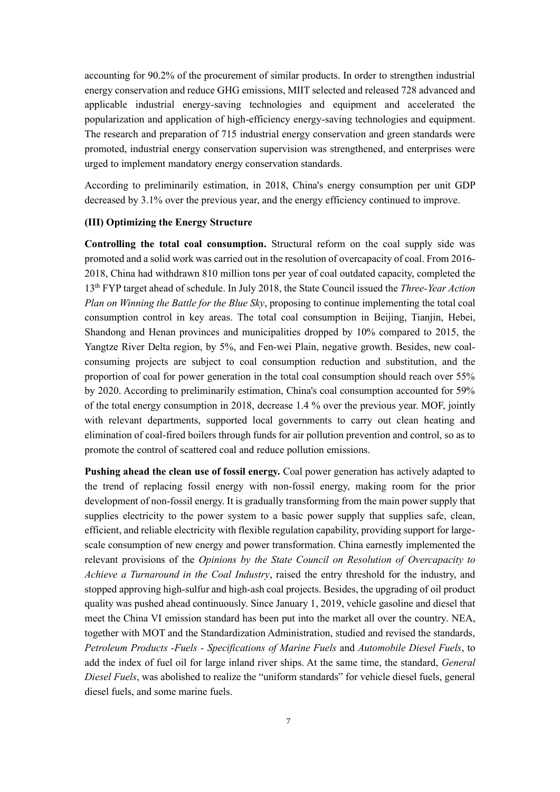accounting for 90.2% of the procurement of similar products. In order to strengthen industrial energy conservation and reduce GHG emissions, MIIT selected and released 728 advanced and applicable industrial energy-saving technologies and equipment and accelerated the popularization and application of high-efficiency energy-saving technologies and equipment. The research and preparation of 715 industrial energy conservation and green standards were promoted, industrial energy conservation supervision was strengthened, and enterprises were urged to implement mandatory energy conservation standards.

According to preliminarily estimation, in 2018, China's energy consumption per unit GDP decreased by 3.1% over the previous year, and the energy efficiency continued to improve.

# <span id="page-9-0"></span>**(III) Optimizing the Energy Structure**

**Controlling the total coal consumption.** Structural reform on the coal supply side was promoted and a solid work was carried out in the resolution of overcapacity of coal. From 2016- 2018, China had withdrawn 810 million tons per year of coal outdated capacity, completed the 13th FYP target ahead of schedule. In July 2018, the State Council issued the *Three-Year Action Plan on Winning the Battle for the Blue Sky*, proposing to continue implementing the total coal consumption control in key areas. The total coal consumption in Beijing, Tianjin, Hebei, Shandong and Henan provinces and municipalities dropped by 10% compared to 2015, the Yangtze River Delta region, by 5%, and Fen-wei Plain, negative growth. Besides, new coalconsuming projects are subject to coal consumption reduction and substitution, and the proportion of coal for power generation in the total coal consumption should reach over 55% by 2020. According to preliminarily estimation, China's coal consumption accounted for 59% of the total energy consumption in 2018, decrease 1.4 % over the previous year. MOF, jointly with relevant departments, supported local governments to carry out clean heating and elimination of coal-fired boilers through funds for air pollution prevention and control, so as to promote the control of scattered coal and reduce pollution emissions.

**Pushing ahead the clean use of fossil energy.** Coal power generation has actively adapted to the trend of replacing fossil energy with non-fossil energy, making room for the prior development of non-fossil energy. It is gradually transforming from the main power supply that supplies electricity to the power system to a basic power supply that supplies safe, clean, efficient, and reliable electricity with flexible regulation capability, providing support for largescale consumption of new energy and power transformation. China earnestly implemented the relevant provisions of the *Opinions by the State Council on Resolution of Overcapacity to Achieve a Turnaround in the Coal Industry*, raised the entry threshold for the industry, and stopped approving high-sulfur and high-ash coal projects. Besides, the upgrading of oil product quality was pushed ahead continuously. Since January 1, 2019, vehicle gasoline and diesel that meet the China VI emission standard has been put into the market all over the country. NEA, together with MOT and the Standardization Administration, studied and revised the standards, *Petroleum Products -Fuels - Specifications of Marine Fuels* and *Automobile Diesel Fuels*, to add the index of fuel oil for large inland river ships. At the same time, the standard, *General Diesel Fuels*, was abolished to realize the "uniform standards" for vehicle diesel fuels, general diesel fuels, and some marine fuels.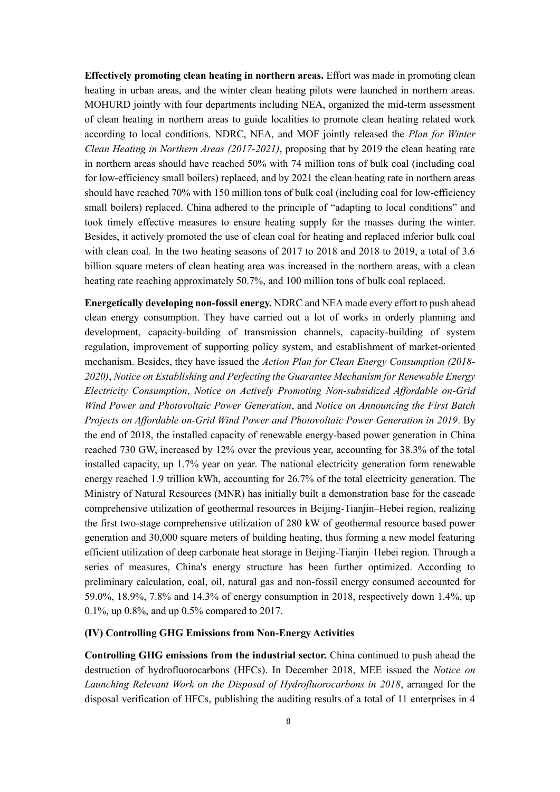**Effectively promoting clean heating in northern areas.** Effort was made in promoting clean heating in urban areas, and the winter clean heating pilots were launched in northern areas. MOHURD jointly with four departments including NEA, organized the mid-term assessment of clean heating in northern areas to guide localities to promote clean heating related work according to local conditions. NDRC, NEA, and MOF jointly released the *Plan for Winter Clean Heating in Northern Areas (2017-2021)*, proposing that by 2019 the clean heating rate in northern areas should have reached 50% with 74 million tons of bulk coal (including coal for low-efficiency small boilers) replaced, and by 2021 the clean heating rate in northern areas should have reached 70% with 150 million tons of bulk coal (including coal for low-efficiency small boilers) replaced. China adhered to the principle of "adapting to local conditions" and took timely effective measures to ensure heating supply for the masses during the winter. Besides, it actively promoted the use of clean coal for heating and replaced inferior bulk coal with clean coal. In the two heating seasons of 2017 to 2018 and 2018 to 2019, a total of 3.6 billion square meters of clean heating area was increased in the northern areas, with a clean heating rate reaching approximately 50.7%, and 100 million tons of bulk coal replaced.

**Energetically developing non-fossil energy.** NDRC and NEAmade every effort to push ahead clean energy consumption. They have carried out a lot of works in orderly planning and development, capacity-building of transmission channels, capacity-building of system regulation, improvement of supporting policy system, and establishment of market-oriented mechanism. Besides, they have issued the *Action Plan for Clean Energy Consumption (2018- 2020)*, *Notice on Establishing and Perfecting the Guarantee Mechanism for Renewable Energy Electricity Consumption*, *Notice on Actively Promoting Non-subsidized Affordable on-Grid Wind Power and Photovoltaic Power Generation*, and *Notice on Announcing the First Batch Projects on Affordable on-Grid Wind Power and Photovoltaic Power Generation in 2019*. By the end of 2018, the installed capacity of renewable energy-based power generation in China reached 730 GW, increased by 12% over the previous year, accounting for 38.3% of the total installed capacity, up 1.7% year on year. The national electricity generation form renewable energy reached 1.9 trillion kWh, accounting for 26.7% of the total electricity generation. The Ministry of Natural Resources (MNR) has initially built a demonstration base for the cascade comprehensive utilization of geothermal resources in Beijing-Tianjin–Hebei region, realizing the first two-stage comprehensive utilization of 280 kW of geothermal resource based power generation and 30,000 square meters of building heating, thus forming a new model featuring efficient utilization of deep carbonate heat storage in Beijing-Tianjin–Hebei region. Through a series of measures, China's energy structure has been further optimized. According to preliminary calculation, coal, oil, natural gas and non-fossil energy consumed accounted for 59.0%, 18.9%, 7.8% and 14.3% of energy consumption in 2018, respectively down 1.4%, up 0.1%, up 0.8%, and up 0.5% compared to 2017.

#### <span id="page-10-0"></span>**(IV) Controlling GHG Emissions from Non-Energy Activities**

**Controlling GHG emissions from the industrial sector.** China continued to push ahead the destruction of hydrofluorocarbons (HFCs). In December 2018, MEE issued the *Notice on Launching Relevant Work on the Disposal of Hydrofluorocarbons in 2018*, arranged for the disposal verification of HFCs, publishing the auditing results of a total of 11 enterprises in 4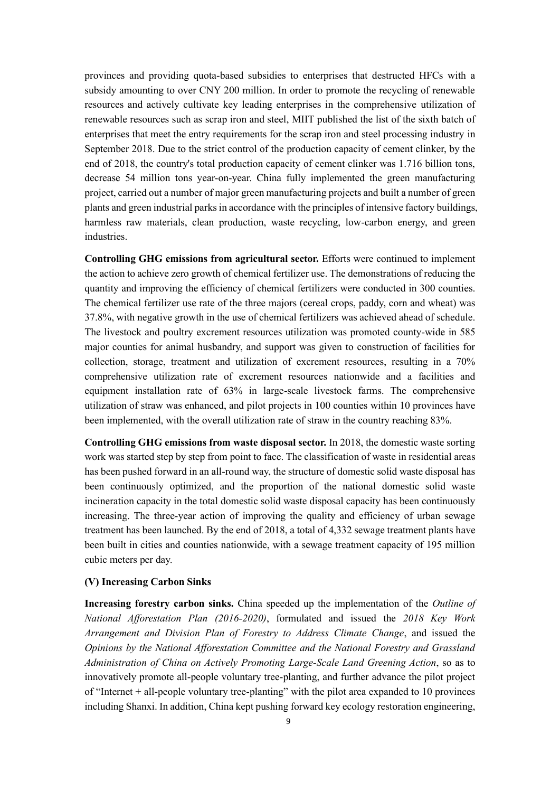provinces and providing quota-based subsidies to enterprises that destructed HFCs with a subsidy amounting to over CNY 200 million. In order to promote the recycling of renewable resources and actively cultivate key leading enterprises in the comprehensive utilization of renewable resources such as scrap iron and steel, MIIT published the list of the sixth batch of enterprises that meet the entry requirements for the scrap iron and steel processing industry in September 2018. Due to the strict control of the production capacity of cement clinker, by the end of 2018, the country's total production capacity of cement clinker was 1.716 billion tons, decrease 54 million tons year-on-year. China fully implemented the green manufacturing project, carried out a number of major green manufacturing projects and built a number of green plants and green industrial parks in accordance with the principles of intensive factory buildings, harmless raw materials, clean production, waste recycling, low-carbon energy, and green industries.

**Controlling GHG emissions from agricultural sector.** Efforts were continued to implement the action to achieve zero growth of chemical fertilizer use. The demonstrations of reducing the quantity and improving the efficiency of chemical fertilizers were conducted in 300 counties. The chemical fertilizer use rate of the three majors (cereal crops, paddy, corn and wheat) was 37.8%, with negative growth in the use of chemical fertilizers was achieved ahead of schedule. The livestock and poultry excrement resources utilization was promoted county-wide in 585 major counties for animal husbandry, and support was given to construction of facilities for collection, storage, treatment and utilization of excrement resources, resulting in a 70% comprehensive utilization rate of excrement resources nationwide and a facilities and equipment installation rate of 63% in large-scale livestock farms. The comprehensive utilization of straw was enhanced, and pilot projects in 100 counties within 10 provinces have been implemented, with the overall utilization rate of straw in the country reaching 83%.

**Controlling GHG emissions from waste disposal sector.** In 2018, the domestic waste sorting work was started step by step from point to face. The classification of waste in residential areas has been pushed forward in an all-round way, the structure of domestic solid waste disposal has been continuously optimized, and the proportion of the national domestic solid waste incineration capacity in the total domestic solid waste disposal capacity has been continuously increasing. The three-year action of improving the quality and efficiency of urban sewage treatment has been launched. By the end of 2018, a total of 4,332 sewage treatment plants have been built in cities and counties nationwide, with a sewage treatment capacity of 195 million cubic meters per day.

# <span id="page-11-0"></span>**(V) Increasing Carbon Sinks**

**Increasing forestry carbon sinks.** China speeded up the implementation of the *Outline of National Afforestation Plan (2016-2020)*, formulated and issued the *2018 Key Work Arrangement and Division Plan of Forestry to Address Climate Change*, and issued the *Opinions by the National Afforestation Committee and the National Forestry and Grassland Administration of China on Actively Promoting Large-Scale Land Greening Action*, so as to innovatively promote all-people voluntary tree-planting, and further advance the pilot project of "Internet + all-people voluntary tree-planting" with the pilot area expanded to 10 provinces including Shanxi. In addition, China kept pushing forward key ecology restoration engineering,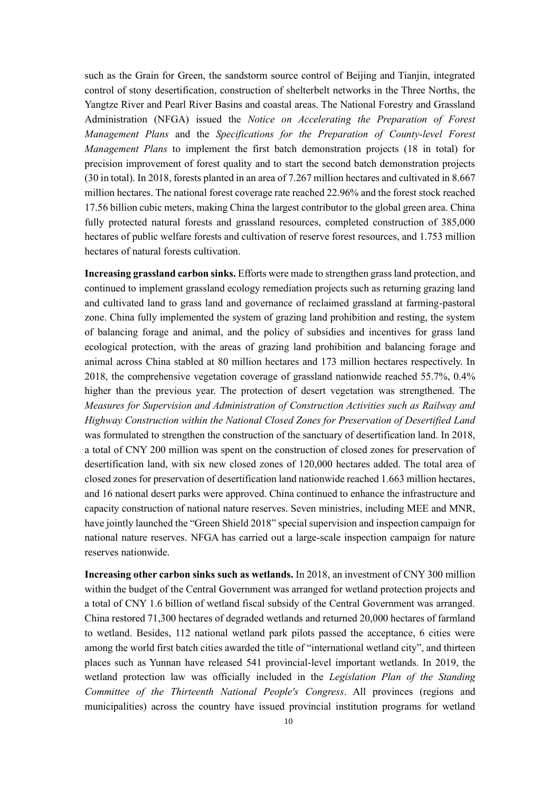such as the Grain for Green, the sandstorm source control of Beijing and Tianjin, integrated control of stony desertification, construction of shelterbelt networks in the Three Norths, the Yangtze River and Pearl River Basins and coastal areas. The National Forestry and Grassland Administration (NFGA) issued the *Notice on Accelerating the Preparation of Forest Management Plans* and the *Specifications for the Preparation of County-level Forest Management Plans* to implement the first batch demonstration projects (18 in total) for precision improvement of forest quality and to start the second batch demonstration projects (30 in total). In 2018, forests planted in an area of 7.267 million hectares and cultivated in 8.667 million hectares. The national forest coverage rate reached 22.96% and the forest stock reached 17.56 billion cubic meters, making China the largest contributor to the global green area. China fully protected natural forests and grassland resources, completed construction of 385,000 hectares of public welfare forests and cultivation of reserve forest resources, and 1.753 million hectares of natural forests cultivation.

**Increasing grassland carbon sinks.** Efforts were made to strengthen grass land protection, and continued to implement grassland ecology remediation projects such as returning grazing land and cultivated land to grass land and governance of reclaimed grassland at farming-pastoral zone. China fully implemented the system of grazing land prohibition and resting, the system of balancing forage and animal, and the policy of subsidies and incentives for grass land ecological protection, with the areas of grazing land prohibition and balancing forage and animal across China stabled at 80 million hectares and 173 million hectares respectively. In 2018, the comprehensive vegetation coverage of grassland nationwide reached 55.7%, 0.4% higher than the previous year. The protection of desert vegetation was strengthened. The *Measures for Supervision and Administration of Construction Activities such as Railway and Highway Construction within the National Closed Zones for Preservation of Desertified Land* was formulated to strengthen the construction of the sanctuary of desertification land. In 2018, a total of CNY 200 million was spent on the construction of closed zones for preservation of desertification land, with six new closed zones of 120,000 hectares added. The total area of closed zones for preservation of desertification land nationwide reached 1.663 million hectares, and 16 national desert parks were approved. China continued to enhance the infrastructure and capacity construction of national nature reserves. Seven ministries, including MEE and MNR, have jointly launched the "Green Shield 2018" special supervision and inspection campaign for national nature reserves. NFGA has carried out a large-scale inspection campaign for nature reserves nationwide.

**Increasing other carbon sinks such as wetlands.** In 2018, an investment of CNY 300 million within the budget of the Central Government was arranged for wetland protection projects and a total of CNY 1.6 billion of wetland fiscal subsidy of the Central Government was arranged. China restored 71,300 hectares of degraded wetlands and returned 20,000 hectares of farmland to wetland. Besides, 112 national wetland park pilots passed the acceptance, 6 cities were among the world first batch cities awarded the title of "international wetland city", and thirteen places such as Yunnan have released 541 provincial-level important wetlands. In 2019, the wetland protection law was officially included in the *Legislation Plan of the Standing Committee of the Thirteenth National People's Congress*. All provinces (regions and municipalities) across the country have issued provincial institution programs for wetland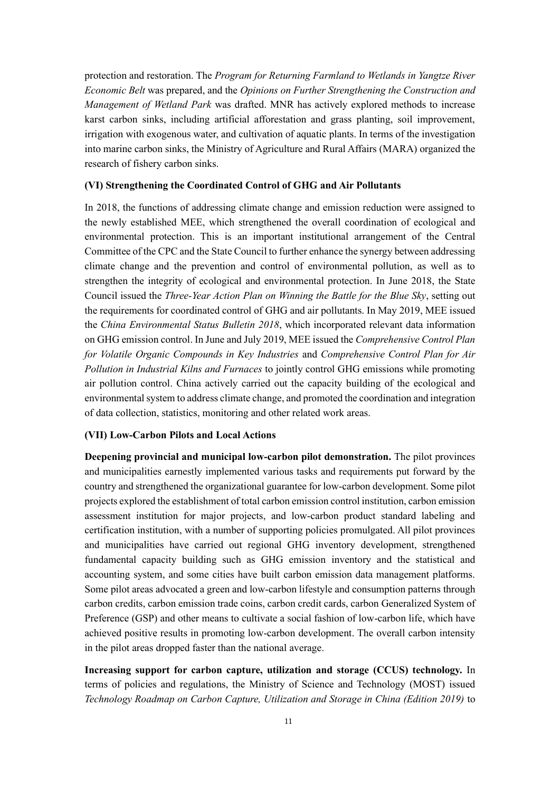protection and restoration. The *Program for Returning Farmland to Wetlands in Yangtze River Economic Belt* was prepared, and the *Opinions on Further Strengthening the Construction and Management of Wetland Park* was drafted. MNR has actively explored methods to increase karst carbon sinks, including artificial afforestation and grass planting, soil improvement, irrigation with exogenous water, and cultivation of aquatic plants. In terms of the investigation into marine carbon sinks, the Ministry of Agriculture and Rural Affairs (MARA) organized the research of fishery carbon sinks.

# <span id="page-13-0"></span>**(VI) Strengthening the Coordinated Control of GHG and Air Pollutants**

In 2018, the functions of addressing climate change and emission reduction were assigned to the newly established MEE, which strengthened the overall coordination of ecological and environmental protection. This is an important institutional arrangement of the Central Committee of the CPC and the State Council to further enhance the synergy between addressing climate change and the prevention and control of environmental pollution, as well as to strengthen the integrity of ecological and environmental protection. In June 2018, the State Council issued the *Three-Year Action Plan on Winning the Battle for the Blue Sky*, setting out the requirements for coordinated control of GHG and air pollutants. In May 2019, MEE issued the *China Environmental Status Bulletin 2018*, which incorporated relevant data information on GHG emission control. In June and July 2019, MEE issued the *Comprehensive Control Plan for Volatile Organic Compounds in Key Industries* and *Comprehensive Control Plan for Air Pollution in Industrial Kilns and Furnaces* to jointly control GHG emissions while promoting air pollution control. China actively carried out the capacity building of the ecological and environmental system to address climate change, and promoted the coordination and integration of data collection, statistics, monitoring and other related work areas.

#### <span id="page-13-1"></span>**(VII) Low-Carbon Pilots and Local Actions**

**Deepening provincial and municipal low-carbon pilot demonstration.** The pilot provinces and municipalities earnestly implemented various tasks and requirements put forward by the country and strengthened the organizational guarantee for low-carbon development. Some pilot projects explored the establishment of total carbon emission control institution, carbon emission assessment institution for major projects, and low-carbon product standard labeling and certification institution, with a number of supporting policies promulgated. All pilot provinces and municipalities have carried out regional GHG inventory development, strengthened fundamental capacity building such as GHG emission inventory and the statistical and accounting system, and some cities have built carbon emission data management platforms. Some pilot areas advocated a green and low-carbon lifestyle and consumption patterns through carbon credits, carbon emission trade coins, carbon credit cards, carbon Generalized System of Preference (GSP) and other means to cultivate a social fashion of low-carbon life, which have achieved positive results in promoting low-carbon development. The overall carbon intensity in the pilot areas dropped faster than the national average.

**Increasing support for carbon capture, utilization and storage (CCUS) technology.** In terms of policies and regulations, the Ministry of Science and Technology (MOST) issued *Technology Roadmap on Carbon Capture, Utilization and Storage in China (Edition 2019)* to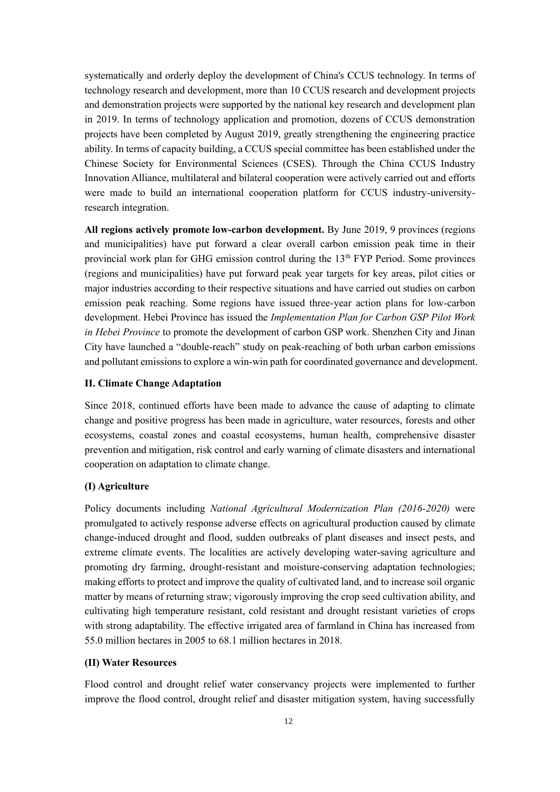systematically and orderly deploy the development of China's CCUS technology. In terms of technology research and development, more than 10 CCUS research and development projects and demonstration projects were supported by the national key research and development plan in 2019. In terms of technology application and promotion, dozens of CCUS demonstration projects have been completed by August 2019, greatly strengthening the engineering practice ability. In terms of capacity building, a CCUS special committee has been established under the Chinese Society for Environmental Sciences (CSES). Through the China CCUS Industry Innovation Alliance, multilateral and bilateral cooperation were actively carried out and efforts were made to build an international cooperation platform for CCUS industry-universityresearch integration.

**All regions actively promote low-carbon development.** By June 2019, 9 provinces (regions and municipalities) have put forward a clear overall carbon emission peak time in their provincial work plan for GHG emission control during the  $13<sup>th</sup> FYP$  Period. Some provinces (regions and municipalities) have put forward peak year targets for key areas, pilot cities or major industries according to their respective situations and have carried out studies on carbon emission peak reaching. Some regions have issued three-year action plans for low-carbon development. Hebei Province has issued the *Implementation Plan for Carbon GSP Pilot Work in Hebei Province* to promote the development of carbon GSP work. Shenzhen City and Jinan City have launched a "double-reach" study on peak-reaching of both urban carbon emissions and pollutant emissions to explore a win-win path for coordinated governance and development.

# <span id="page-14-0"></span>**II. Climate Change Adaptation**

Since 2018, continued efforts have been made to advance the cause of adapting to climate change and positive progress has been made in agriculture, water resources, forests and other ecosystems, coastal zones and coastal ecosystems, human health, comprehensive disaster prevention and mitigation, risk control and early warning of climate disasters and international cooperation on adaptation to climate change.

#### <span id="page-14-1"></span>**(I) Agriculture**

Policy documents including *National Agricultural Modernization Plan (2016-2020)* were promulgated to actively response adverse effects on agricultural production caused by climate change-induced drought and flood, sudden outbreaks of plant diseases and insect pests, and extreme climate events. The localities are actively developing water-saving agriculture and promoting dry farming, drought-resistant and moisture-conserving adaptation technologies; making efforts to protect and improve the quality of cultivated land, and to increase soil organic matter by means of returning straw; vigorously improving the crop seed cultivation ability, and cultivating high temperature resistant, cold resistant and drought resistant varieties of crops with strong adaptability. The effective irrigated area of farmland in China has increased from 55.0 million hectares in 2005 to 68.1 million hectares in 2018.

#### <span id="page-14-2"></span>**(II) Water Resources**

Flood control and drought relief water conservancy projects were implemented to further improve the flood control, drought relief and disaster mitigation system, having successfully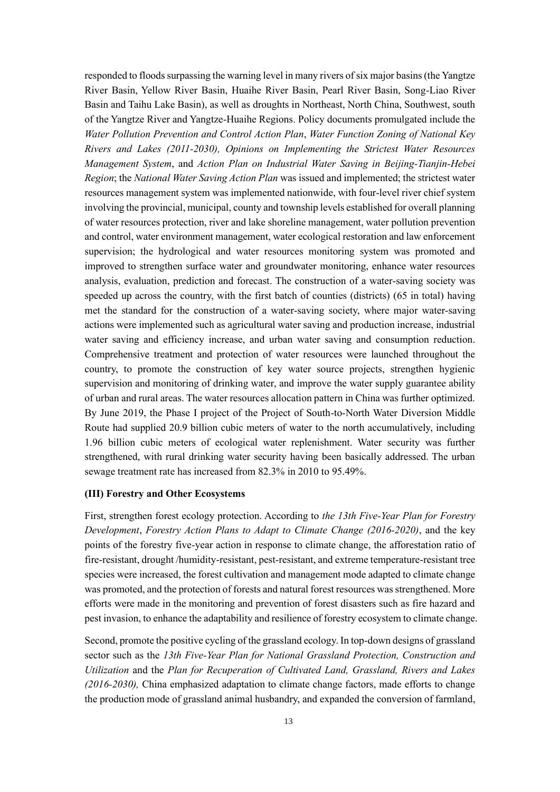responded to floods surpassing the warning level in many rivers of six major basins (the Yangtze River Basin, Yellow River Basin, Huaihe River Basin, Pearl River Basin, Song-Liao River Basin and Taihu Lake Basin), as well as droughts in Northeast, North China, Southwest, south of the Yangtze River and Yangtze-Huaihe Regions. Policy documents promulgated include the *Water Pollution Prevention and Control Action Plan*, *Water Function Zoning of National Key Rivers and Lakes (2011-2030), Opinions on Implementing the Strictest Water Resources Management System*, and *Action Plan on Industrial Water Saving in Beijing-Tianjin-Hebei Region*; the *National Water Saving Action Plan* was issued and implemented; the strictest water resources management system was implemented nationwide, with four-level river chief system involving the provincial, municipal, county and township levels established for overall planning of water resources protection, river and lake shoreline management, water pollution prevention and control, water environment management, water ecological restoration and law enforcement supervision; the hydrological and water resources monitoring system was promoted and improved to strengthen surface water and groundwater monitoring, enhance water resources analysis, evaluation, prediction and forecast. The construction of a water-saving society was speeded up across the country, with the first batch of counties (districts) (65 in total) having met the standard for the construction of a water-saving society, where major water-saving actions were implemented such as agricultural water saving and production increase, industrial water saving and efficiency increase, and urban water saving and consumption reduction. Comprehensive treatment and protection of water resources were launched throughout the country, to promote the construction of key water source projects, strengthen hygienic supervision and monitoring of drinking water, and improve the water supply guarantee ability of urban and rural areas. The water resources allocation pattern in China was further optimized. By June 2019, the Phase I project of the Project of South-to-North Water Diversion Middle Route had supplied 20.9 billion cubic meters of water to the north accumulatively, including 1.96 billion cubic meters of ecological water replenishment. Water security was further strengthened, with rural drinking water security having been basically addressed. The urban sewage treatment rate has increased from 82.3% in 2010 to 95.49%.

#### <span id="page-15-0"></span>**(III) Forestry and Other Ecosystems**

First, strengthen forest ecology protection. According to *the 13th Five-Year Plan for Forestry Development*, *Forestry Action Plans to Adapt to Climate Change (2016-2020)*, and the key points of the forestry five-year action in response to climate change, the afforestation ratio of fire-resistant, drought /humidity-resistant, pest-resistant, and extreme temperature-resistant tree species were increased, the forest cultivation and management mode adapted to climate change was promoted, and the protection of forests and natural forest resources was strengthened. More efforts were made in the monitoring and prevention of forest disasters such as fire hazard and pest invasion, to enhance the adaptability and resilience of forestry ecosystem to climate change.

Second, promote the positive cycling of the grassland ecology. In top-down designs of grassland sector such as the *13th Five-Year Plan for National Grassland Protection, Construction and Utilization* and the *Plan for Recuperation of Cultivated Land, Grassland, Rivers and Lakes (2016-2030),* China emphasized adaptation to climate change factors, made efforts to change the production mode of grassland animal husbandry, and expanded the conversion of farmland,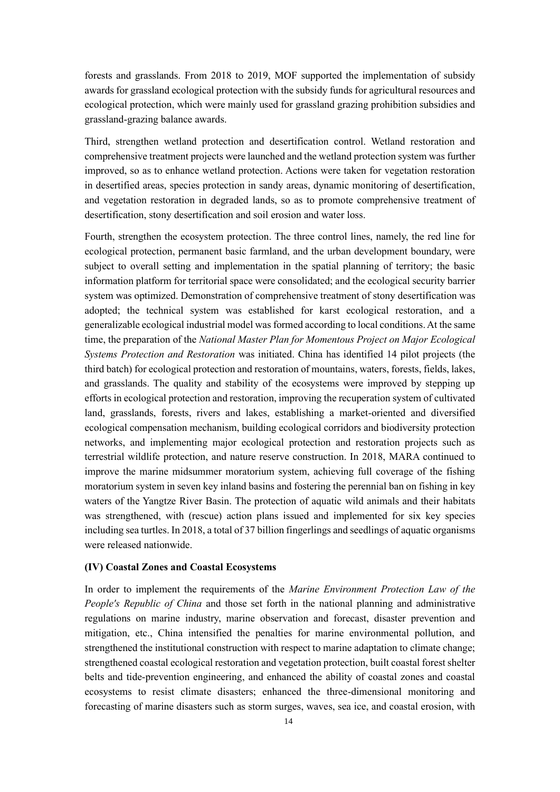forests and grasslands. From 2018 to 2019, MOF supported the implementation of subsidy awards for grassland ecological protection with the subsidy funds for agricultural resources and ecological protection, which were mainly used for grassland grazing prohibition subsidies and grassland-grazing balance awards.

Third, strengthen wetland protection and desertification control. Wetland restoration and comprehensive treatment projects were launched and the wetland protection system was further improved, so as to enhance wetland protection. Actions were taken for vegetation restoration in desertified areas, species protection in sandy areas, dynamic monitoring of desertification, and vegetation restoration in degraded lands, so as to promote comprehensive treatment of desertification, stony desertification and soil erosion and water loss.

Fourth, strengthen the ecosystem protection. The three control lines, namely, the red line for ecological protection, permanent basic farmland, and the urban development boundary, were subject to overall setting and implementation in the spatial planning of territory; the basic information platform for territorial space were consolidated; and the ecological security barrier system was optimized. Demonstration of comprehensive treatment of stony desertification was adopted; the technical system was established for karst ecological restoration, and a generalizable ecological industrial model was formed according to local conditions. At the same time, the preparation of the *National Master Plan for Momentous Project on Major Ecological Systems Protection and Restoration* was initiated. China has identified 14 pilot projects (the third batch) for ecological protection and restoration of mountains, waters, forests, fields, lakes, and grasslands. The quality and stability of the ecosystems were improved by stepping up efforts in ecological protection and restoration, improving the recuperation system of cultivated land, grasslands, forests, rivers and lakes, establishing a market-oriented and diversified ecological compensation mechanism, building ecological corridors and biodiversity protection networks, and implementing major ecological protection and restoration projects such as terrestrial wildlife protection, and nature reserve construction. In 2018, MARA continued to improve the marine midsummer moratorium system, achieving full coverage of the fishing moratorium system in seven key inland basins and fostering the perennial ban on fishing in key waters of the Yangtze River Basin. The protection of aquatic wild animals and their habitats was strengthened, with (rescue) action plans issued and implemented for six key species including sea turtles. In 2018, a total of 37 billion fingerlings and seedlings of aquatic organisms were released nationwide.

#### <span id="page-16-0"></span>**(IV) Coastal Zones and Coastal Ecosystems**

In order to implement the requirements of the *Marine Environment Protection Law of the People's Republic of China* and those set forth in the national planning and administrative regulations on marine industry, marine observation and forecast, disaster prevention and mitigation, etc., China intensified the penalties for marine environmental pollution, and strengthened the institutional construction with respect to marine adaptation to climate change; strengthened coastal ecological restoration and vegetation protection, built coastal forest shelter belts and tide-prevention engineering, and enhanced the ability of coastal zones and coastal ecosystems to resist climate disasters; enhanced the three-dimensional monitoring and forecasting of marine disasters such as storm surges, waves, sea ice, and coastal erosion, with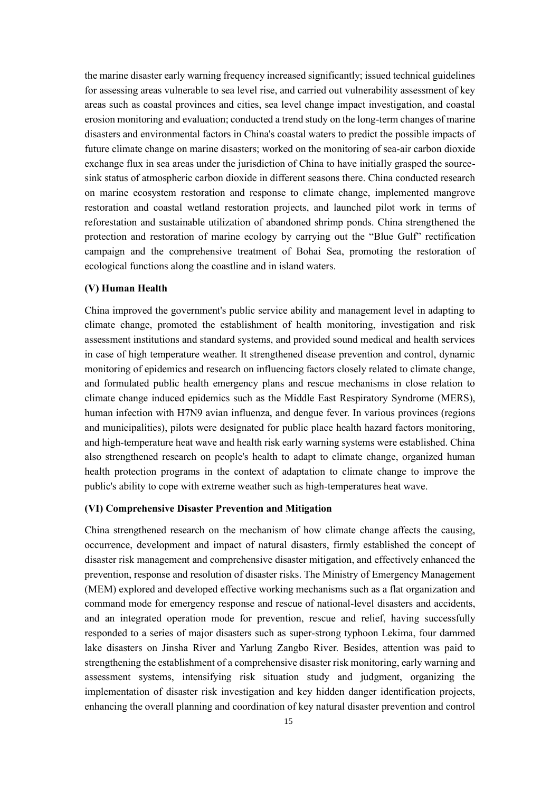the marine disaster early warning frequency increased significantly; issued technical guidelines for assessing areas vulnerable to sea level rise, and carried out vulnerability assessment of key areas such as coastal provinces and cities, sea level change impact investigation, and coastal erosion monitoring and evaluation; conducted a trend study on the long-term changes of marine disasters and environmental factors in China's coastal waters to predict the possible impacts of future climate change on marine disasters; worked on the monitoring of sea-air carbon dioxide exchange flux in sea areas under the jurisdiction of China to have initially grasped the sourcesink status of atmospheric carbon dioxide in different seasons there. China conducted research on marine ecosystem restoration and response to climate change, implemented mangrove restoration and coastal wetland restoration projects, and launched pilot work in terms of reforestation and sustainable utilization of abandoned shrimp ponds. China strengthened the protection and restoration of marine ecology by carrying out the "Blue Gulf" rectification campaign and the comprehensive treatment of Bohai Sea, promoting the restoration of ecological functions along the coastline and in island waters.

#### <span id="page-17-0"></span>**(V) Human Health**

China improved the government's public service ability and management level in adapting to climate change, promoted the establishment of health monitoring, investigation and risk assessment institutions and standard systems, and provided sound medical and health services in case of high temperature weather. It strengthened disease prevention and control, dynamic monitoring of epidemics and research on influencing factors closely related to climate change, and formulated public health emergency plans and rescue mechanisms in close relation to climate change induced epidemics such as the Middle East Respiratory Syndrome (MERS), human infection with H7N9 avian influenza, and dengue fever. In various provinces (regions and municipalities), pilots were designated for public place health hazard factors monitoring, and high-temperature heat wave and health risk early warning systems were established. China also strengthened research on people's health to adapt to climate change, organized human health protection programs in the context of adaptation to climate change to improve the public's ability to cope with extreme weather such as high-temperatures heat wave.

#### <span id="page-17-1"></span>**(VI) Comprehensive Disaster Prevention and Mitigation**

China strengthened research on the mechanism of how climate change affects the causing, occurrence, development and impact of natural disasters, firmly established the concept of disaster risk management and comprehensive disaster mitigation, and effectively enhanced the prevention, response and resolution of disaster risks. The Ministry of Emergency Management (MEM) explored and developed effective working mechanisms such as a flat organization and command mode for emergency response and rescue of national-level disasters and accidents, and an integrated operation mode for prevention, rescue and relief, having successfully responded to a series of major disasters such as super-strong typhoon Lekima, four dammed lake disasters on Jinsha River and Yarlung Zangbo River. Besides, attention was paid to strengthening the establishment of a comprehensive disaster risk monitoring, early warning and assessment systems, intensifying risk situation study and judgment, organizing the implementation of disaster risk investigation and key hidden danger identification projects, enhancing the overall planning and coordination of key natural disaster prevention and control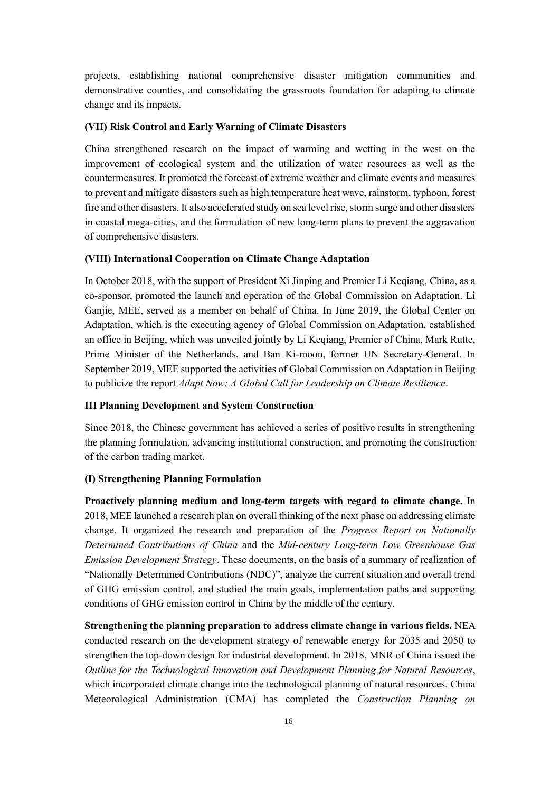projects, establishing national comprehensive disaster mitigation communities and demonstrative counties, and consolidating the grassroots foundation for adapting to climate change and its impacts.

# <span id="page-18-0"></span>**(VII) Risk Control and Early Warning of Climate Disasters**

China strengthened research on the impact of warming and wetting in the west on the improvement of ecological system and the utilization of water resources as well as the countermeasures. It promoted the forecast of extreme weather and climate events and measures to prevent and mitigate disasters such as high temperature heat wave, rainstorm, typhoon, forest fire and other disasters. It also accelerated study on sea level rise, storm surge and other disasters in coastal mega-cities, and the formulation of new long-term plans to prevent the aggravation of comprehensive disasters.

#### <span id="page-18-1"></span>**(VIII) International Cooperation on Climate Change Adaptation**

In October 2018, with the support of President Xi Jinping and Premier Li Keqiang, China, as a co-sponsor, promoted the launch and operation of the Global Commission on Adaptation. Li Ganjie, MEE, served as a member on behalf of China. In June 2019, the Global Center on Adaptation, which is the executing agency of Global Commission on Adaptation, established an office in Beijing, which was unveiled jointly by Li Keqiang, Premier of China, Mark Rutte, Prime Minister of the Netherlands, and Ban Ki-moon, former UN Secretary-General. In September 2019, MEE supported the activities of Global Commission on Adaptation in Beijing to publicize the report *Adapt Now: A Global Call for Leadership on Climate Resilience*.

#### <span id="page-18-2"></span>**III Planning Development and System Construction**

Since 2018, the Chinese government has achieved a series of positive results in strengthening the planning formulation, advancing institutional construction, and promoting the construction of the carbon trading market.

# <span id="page-18-3"></span>**(I) Strengthening Planning Formulation**

**Proactively planning medium and long-term targets with regard to climate change.** In 2018, MEE launched a research plan on overall thinking of the next phase on addressing climate change. It organized the research and preparation of the *Progress Report on Nationally Determined Contributions of China* and the *Mid-century Long-term Low Greenhouse Gas Emission Development Strategy*. These documents, on the basis of a summary of realization of "Nationally Determined Contributions (NDC)", analyze the current situation and overall trend of GHG emission control, and studied the main goals, implementation paths and supporting conditions of GHG emission control in China by the middle of the century.

**Strengthening the planning preparation to address climate change in various fields.** NEA conducted research on the development strategy of renewable energy for 2035 and 2050 to strengthen the top-down design for industrial development. In 2018, MNR of China issued the *Outline for the Technological Innovation and Development Planning for Natural Resources*, which incorporated climate change into the technological planning of natural resources. China Meteorological Administration (CMA) has completed the *Construction Planning on*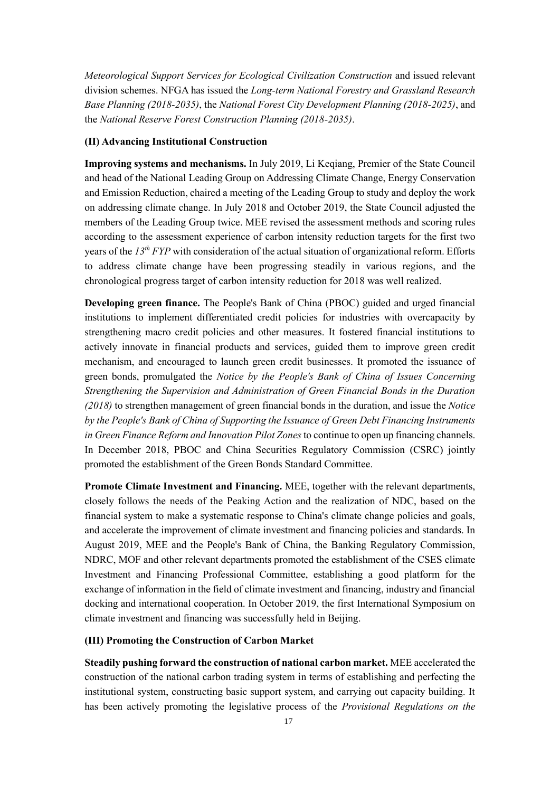*Meteorological Support Services for Ecological Civilization Construction* and issued relevant division schemes. NFGA has issued the *Long-term National Forestry and Grassland Research Base Planning (2018-2035)*, the *National Forest City Development Planning (2018-2025)*, and the *National Reserve Forest Construction Planning (2018-2035)*.

#### <span id="page-19-0"></span>**(II) Advancing Institutional Construction**

**Improving systems and mechanisms.** In July 2019, Li Keqiang, Premier of the State Council and head of the National Leading Group on Addressing Climate Change, Energy Conservation and Emission Reduction, chaired a meeting of the Leading Group to study and deploy the work on addressing climate change. In July 2018 and October 2019, the State Council adjusted the members of the Leading Group twice. MEE revised the assessment methods and scoring rules according to the assessment experience of carbon intensity reduction targets for the first two years of the *13th FYP* with consideration of the actual situation of organizational reform. Efforts to address climate change have been progressing steadily in various regions, and the chronological progress target of carbon intensity reduction for 2018 was well realized.

**Developing green finance.** The People's Bank of China (PBOC) guided and urged financial institutions to implement differentiated credit policies for industries with overcapacity by strengthening macro credit policies and other measures. It fostered financial institutions to actively innovate in financial products and services, guided them to improve green credit mechanism, and encouraged to launch green credit businesses. It promoted the issuance of green bonds, promulgated the *Notice by the People's Bank of China of Issues Concerning Strengthening the Supervision and Administration of Green Financial Bonds in the Duration (2018)* to strengthen management of green financial bonds in the duration, and issue the *Notice by the People's Bank of China of Supporting the Issuance of Green Debt Financing Instruments in Green Finance Reform and Innovation Pilot Zones*to continue to open up financing channels. In December 2018, PBOC and China Securities Regulatory Commission (CSRC) jointly promoted the establishment of the Green Bonds Standard Committee.

**Promote Climate Investment and Financing.** MEE, together with the relevant departments, closely follows the needs of the Peaking Action and the realization of NDC, based on the financial system to make a systematic response to China's climate change policies and goals, and accelerate the improvement of climate investment and financing policies and standards. In August 2019, MEE and the People's Bank of China, the Banking Regulatory Commission, NDRC, MOF and other relevant departments promoted the establishment of the CSES climate Investment and Financing Professional Committee, establishing a good platform for the exchange of information in the field of climate investment and financing, industry and financial docking and international cooperation. In October 2019, the first International Symposium on climate investment and financing was successfully held in Beijing.

#### <span id="page-19-1"></span>**(III) Promoting the Construction of Carbon Market**

**Steadily pushing forward the construction of national carbon market.** MEE accelerated the construction of the national carbon trading system in terms of establishing and perfecting the institutional system, constructing basic support system, and carrying out capacity building. It has been actively promoting the legislative process of the *Provisional Regulations on the*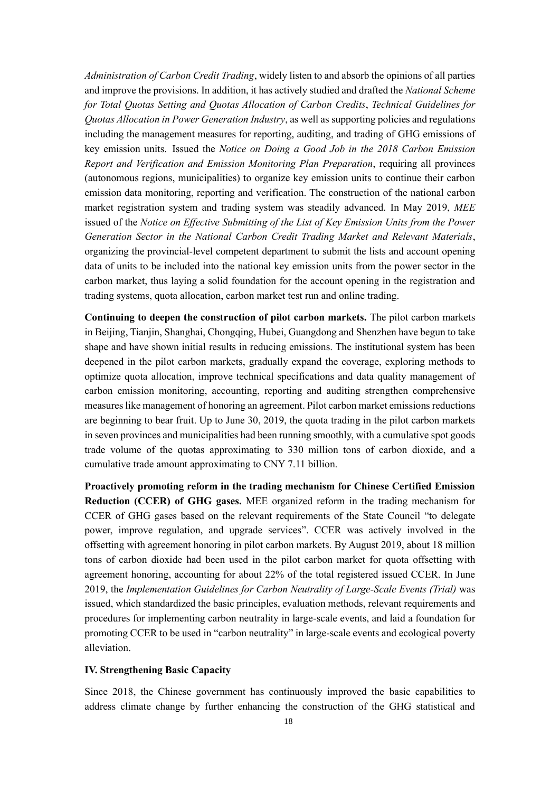*Administration of Carbon Credit Trading*, widely listen to and absorb the opinions of all parties and improve the provisions. In addition, it has actively studied and drafted the *National Scheme for Total Quotas Setting and Quotas Allocation of Carbon Credits*, *Technical Guidelines for Quotas Allocation in Power Generation Industry*, as well as supporting policies and regulations including the management measures for reporting, auditing, and trading of GHG emissions of key emission units. Issued the *Notice on Doing a Good Job in the 2018 Carbon Emission Report and Verification and Emission Monitoring Plan Preparation*, requiring all provinces (autonomous regions, municipalities) to organize key emission units to continue their carbon emission data monitoring, reporting and verification. The construction of the national carbon market registration system and trading system was steadily advanced. In May 2019, *MEE* issued of the *Notice on Effective Submitting of the List of Key Emission Units from the Power Generation Sector in the National Carbon Credit Trading Market and Relevant Materials*, organizing the provincial-level competent department to submit the lists and account opening data of units to be included into the national key emission units from the power sector in the carbon market, thus laying a solid foundation for the account opening in the registration and trading systems, quota allocation, carbon market test run and online trading.

**Continuing to deepen the construction of pilot carbon markets.** The pilot carbon markets in Beijing, Tianjin, Shanghai, Chongqing, Hubei, Guangdong and Shenzhen have begun to take shape and have shown initial results in reducing emissions. The institutional system has been deepened in the pilot carbon markets, gradually expand the coverage, exploring methods to optimize quota allocation, improve technical specifications and data quality management of carbon emission monitoring, accounting, reporting and auditing strengthen comprehensive measures like management of honoring an agreement. Pilot carbon market emissions reductions are beginning to bear fruit. Up to June 30, 2019, the quota trading in the pilot carbon markets in seven provinces and municipalities had been running smoothly, with a cumulative spot goods trade volume of the quotas approximating to 330 million tons of carbon dioxide, and a cumulative trade amount approximating to CNY 7.11 billion.

**Proactively promoting reform in the trading mechanism for Chinese Certified Emission Reduction (CCER) of GHG gases.** MEE organized reform in the trading mechanism for CCER of GHG gases based on the relevant requirements of the State Council "to delegate power, improve regulation, and upgrade services". CCER was actively involved in the offsetting with agreement honoring in pilot carbon markets. By August 2019, about 18 million tons of carbon dioxide had been used in the pilot carbon market for quota offsetting with agreement honoring, accounting for about 22% of the total registered issued CCER. In June 2019, the *Implementation Guidelines for Carbon Neutrality of Large-Scale Events (Trial)* was issued, which standardized the basic principles, evaluation methods, relevant requirements and procedures for implementing carbon neutrality in large-scale events, and laid a foundation for promoting CCER to be used in "carbon neutrality" in large-scale events and ecological poverty alleviation.

#### <span id="page-20-0"></span>**IV. Strengthening Basic Capacity**

Since 2018, the Chinese government has continuously improved the basic capabilities to address climate change by further enhancing the construction of the GHG statistical and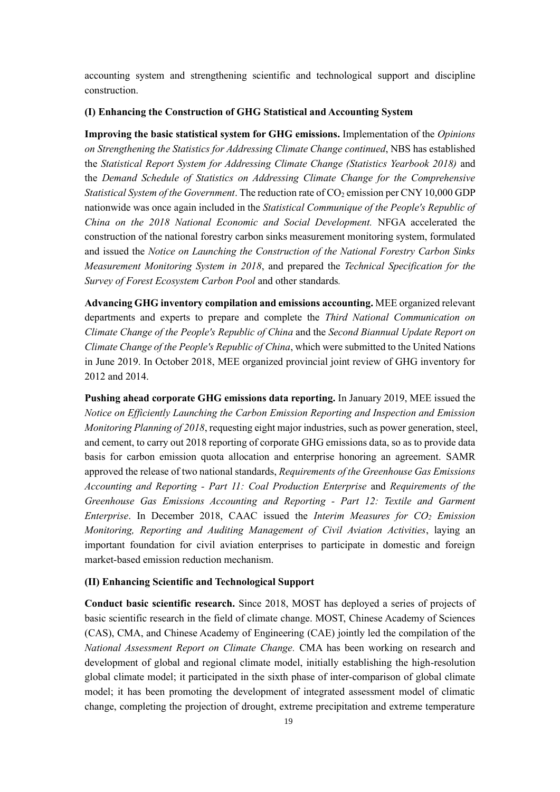accounting system and strengthening scientific and technological support and discipline construction.

# <span id="page-21-0"></span>**(I) Enhancing the Construction of GHG Statistical and Accounting System**

**Improving the basic statistical system for GHG emissions.** Implementation of the *Opinions on Strengthening the Statistics for Addressing Climate Change continued*, NBS has established the *Statistical Report System for Addressing Climate Change (Statistics Yearbook 2018)* and the *Demand Schedule of Statistics on Addressing Climate Change for the Comprehensive Statistical System of the Government*. The reduction rate of CO<sub>2</sub> emission per CNY 10,000 GDP nationwide was once again included in the *Statistical Communique of the People's Republic of China on the 2018 National Economic and Social Development.* NFGA accelerated the construction of the national forestry carbon sinks measurement monitoring system, formulated and issued the *Notice on Launching the Construction of the National Forestry Carbon Sinks Measurement Monitoring System in 2018*, and prepared the *Technical Specification for the Survey of Forest Ecosystem Carbon Pool* and other standards*.*

**Advancing GHG inventory compilation and emissions accounting.** MEE organized relevant departments and experts to prepare and complete the *Third National Communication on Climate Change of the People's Republic of China* and the *Second Biannual Update Report on Climate Change of the People's Republic of China*, which were submitted to the United Nations in June 2019. In October 2018, MEE organized provincial joint review of GHG inventory for 2012 and 2014.

**Pushing ahead corporate GHG emissions data reporting.** In January 2019, MEE issued the *Notice on Efficiently Launching the Carbon Emission Reporting and Inspection and Emission Monitoring Planning of 2018*, requesting eight major industries, such as power generation, steel, and cement, to carry out 2018 reporting of corporate GHG emissions data, so as to provide data basis for carbon emission quota allocation and enterprise honoring an agreement. SAMR approved the release of two national standards, *Requirements of the Greenhouse Gas Emissions Accounting and Reporting - Part 11: Coal Production Enterprise* and *Requirements of the Greenhouse Gas Emissions Accounting and Reporting - Part 12: Textile and Garment Enterprise*. In December 2018, CAAC issued the *Interim Measures for CO<sup>2</sup> Emission Monitoring, Reporting and Auditing Management of Civil Aviation Activities*, laying an important foundation for civil aviation enterprises to participate in domestic and foreign market-based emission reduction mechanism.

# <span id="page-21-1"></span>**(II) Enhancing Scientific and Technological Support**

**Conduct basic scientific research.** Since 2018, MOST has deployed a series of projects of basic scientific research in the field of climate change. MOST, Chinese Academy of Sciences (CAS), CMA, and Chinese Academy of Engineering (CAE) jointly led the compilation of the *National Assessment Report on Climate Change.* CMA has been working on research and development of global and regional climate model, initially establishing the high-resolution global climate model; it participated in the sixth phase of inter-comparison of global climate model; it has been promoting the development of integrated assessment model of climatic change, completing the projection of drought, extreme precipitation and extreme temperature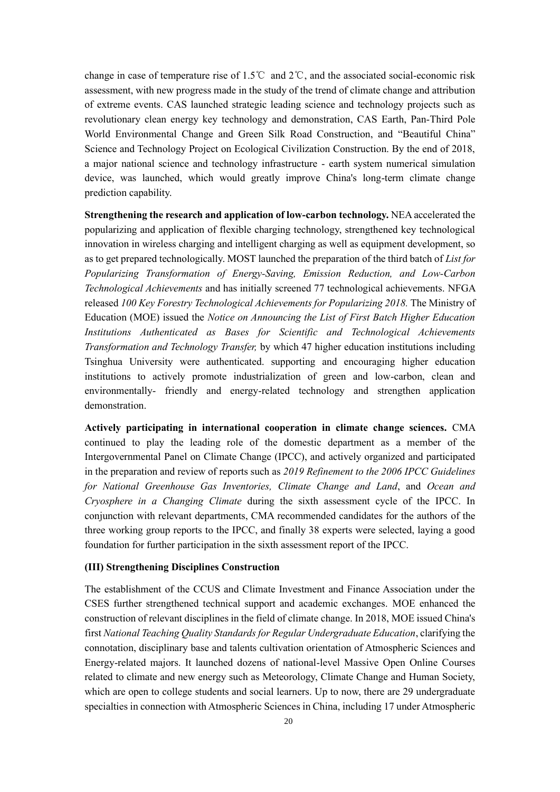change in case of temperature rise of 1.5℃ and 2℃, and the associated social-economic risk assessment, with new progress made in the study of the trend of climate change and attribution of extreme events. CAS launched strategic leading science and technology projects such as revolutionary clean energy key technology and demonstration, CAS Earth, Pan-Third Pole World Environmental Change and Green Silk Road Construction, and "Beautiful China" Science and Technology Project on Ecological Civilization Construction. By the end of 2018, a major national science and technology infrastructure - earth system numerical simulation device, was launched, which would greatly improve China's long-term climate change prediction capability.

**Strengthening the research and application of low-carbon technology.** NEA accelerated the popularizing and application of flexible charging technology, strengthened key technological innovation in wireless charging and intelligent charging as well as equipment development, so as to get prepared technologically. MOST launched the preparation of the third batch of *List for Popularizing Transformation of Energy-Saving, Emission Reduction, and Low-Carbon Technological Achievements* and has initially screened 77 technological achievements. NFGA released *100 Key Forestry Technological Achievements for Popularizing 2018.* The Ministry of Education (MOE) issued the *Notice on Announcing the List of First Batch Higher Education Institutions Authenticated as Bases for Scientific and Technological Achievements Transformation and Technology Transfer,* by which 47 higher education institutions including Tsinghua University were authenticated. supporting and encouraging higher education institutions to actively promote industrialization of green and low-carbon, clean and environmentally- friendly and energy-related technology and strengthen application demonstration.

**Actively participating in international cooperation in climate change sciences.** CMA continued to play the leading role of the domestic department as a member of the Intergovernmental Panel on Climate Change (IPCC), and actively organized and participated in the preparation and review of reports such as *2019 Refinement to the 2006 IPCC Guidelines for National Greenhouse Gas Inventories, Climate Change and Land*, and *Ocean and Cryosphere in a Changing Climate* during the sixth assessment cycle of the IPCC. In conjunction with relevant departments, CMA recommended candidates for the authors of the three working group reports to the IPCC, and finally 38 experts were selected, laying a good foundation for further participation in the sixth assessment report of the IPCC.

#### <span id="page-22-0"></span>**(III) Strengthening Disciplines Construction**

The establishment of the CCUS and Climate Investment and Finance Association under the CSES further strengthened technical support and academic exchanges. MOE enhanced the construction of relevant disciplines in the field of climate change. In 2018, MOE issued China's first *National Teaching Quality Standards for Regular Undergraduate Education*, clarifying the connotation, disciplinary base and talents cultivation orientation of Atmospheric Sciences and Energy-related majors. It launched dozens of national-level Massive Open Online Courses related to climate and new energy such as Meteorology, Climate Change and Human Society, which are open to college students and social learners. Up to now, there are 29 undergraduate specialties in connection with Atmospheric Sciences in China, including 17 under Atmospheric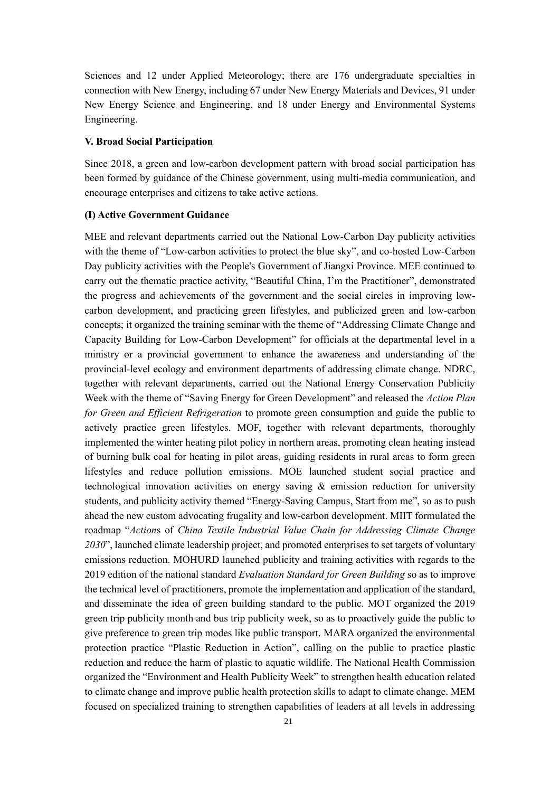Sciences and 12 under Applied Meteorology; there are 176 undergraduate specialties in connection with New Energy, including 67 under New Energy Materials and Devices, 91 under New Energy Science and Engineering, and 18 under Energy and Environmental Systems Engineering.

# <span id="page-23-0"></span>**V. Broad Social Participation**

Since 2018, a green and low-carbon development pattern with broad social participation has been formed by guidance of the Chinese government, using multi-media communication, and encourage enterprises and citizens to take active actions.

#### <span id="page-23-1"></span>**(I) Active Government Guidance**

MEE and relevant departments carried out the National Low-Carbon Day publicity activities with the theme of "Low-carbon activities to protect the blue sky", and co-hosted Low-Carbon Day publicity activities with the People's Government of Jiangxi Province. MEE continued to carry out the thematic practice activity, "Beautiful China, I'm the Practitioner", demonstrated the progress and achievements of the government and the social circles in improving lowcarbon development, and practicing green lifestyles, and publicized green and low-carbon concepts; it organized the training seminar with the theme of "Addressing Climate Change and Capacity Building for Low-Carbon Development" for officials at the departmental level in a ministry or a provincial government to enhance the awareness and understanding of the provincial-level ecology and environment departments of addressing climate change. NDRC, together with relevant departments, carried out the National Energy Conservation Publicity Week with the theme of "Saving Energy for Green Development" and released the *Action Plan for Green and Efficient Refrigeration* to promote green consumption and guide the public to actively practice green lifestyles. MOF, together with relevant departments, thoroughly implemented the winter heating pilot policy in northern areas, promoting clean heating instead of burning bulk coal for heating in pilot areas, guiding residents in rural areas to form green lifestyles and reduce pollution emissions. MOE launched student social practice and technological innovation activities on energy saving & emission reduction for university students, and publicity activity themed "Energy-Saving Campus, Start from me", so as to push ahead the new custom advocating frugality and low-carbon development. MIIT formulated the roadmap "*Action*s of *China Textile Industrial Value Chain for Addressing Climate Change 2030*", launched climate leadership project, and promoted enterprises to set targets of voluntary emissions reduction. MOHURD launched publicity and training activities with regards to the 2019 edition of the national standard *Evaluation Standard for Green Building* so as to improve the technical level of practitioners, promote the implementation and application of the standard, and disseminate the idea of green building standard to the public. MOT organized the 2019 green trip publicity month and bus trip publicity week, so as to proactively guide the public to give preference to green trip modes like public transport. MARA organized the environmental protection practice "Plastic Reduction in Action", calling on the public to practice plastic reduction and reduce the harm of plastic to aquatic wildlife. The National Health Commission organized the "Environment and Health Publicity Week" to strengthen health education related to climate change and improve public health protection skills to adapt to climate change. MEM focused on specialized training to strengthen capabilities of leaders at all levels in addressing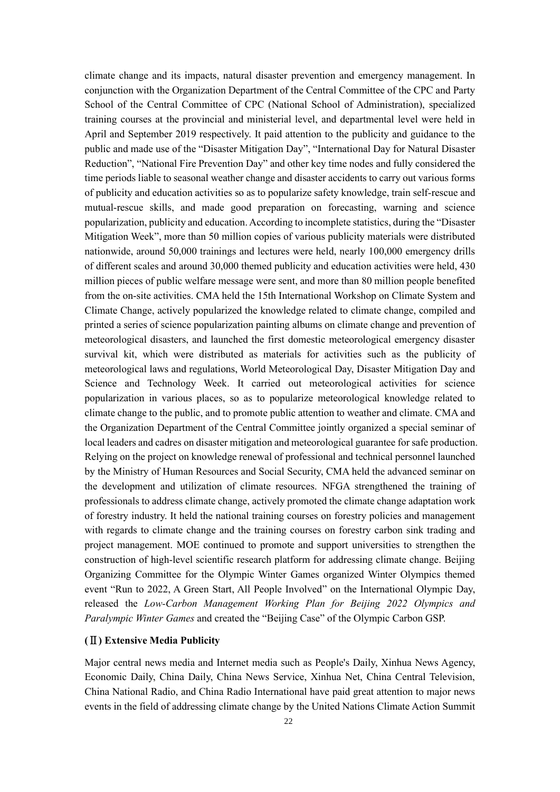climate change and its impacts, natural disaster prevention and emergency management. In conjunction with the Organization Department of the Central Committee of the CPC and Party School of the Central Committee of CPC (National School of Administration), specialized training courses at the provincial and ministerial level, and departmental level were held in April and September 2019 respectively. It paid attention to the publicity and guidance to the public and made use of the "Disaster Mitigation Day", "International Day for Natural Disaster Reduction", "National Fire Prevention Day" and other key time nodes and fully considered the time periods liable to seasonal weather change and disaster accidents to carry out various forms of publicity and education activities so as to popularize safety knowledge, train self-rescue and mutual-rescue skills, and made good preparation on forecasting, warning and science popularization, publicity and education. According to incomplete statistics, during the "Disaster Mitigation Week", more than 50 million copies of various publicity materials were distributed nationwide, around 50,000 trainings and lectures were held, nearly 100,000 emergency drills of different scales and around 30,000 themed publicity and education activities were held, 430 million pieces of public welfare message were sent, and more than 80 million people benefited from the on-site activities. CMA held the 15th International Workshop on Climate System and Climate Change, actively popularized the knowledge related to climate change, compiled and printed a series of science popularization painting albums on climate change and prevention of meteorological disasters, and launched the first domestic meteorological emergency disaster survival kit, which were distributed as materials for activities such as the publicity of meteorological laws and regulations, World Meteorological Day, Disaster Mitigation Day and Science and Technology Week. It carried out meteorological activities for science popularization in various places, so as to popularize meteorological knowledge related to climate change to the public, and to promote public attention to weather and climate. CMA and the Organization Department of the Central Committee jointly organized a special seminar of local leaders and cadres on disaster mitigation and meteorological guarantee for safe production. Relying on the project on knowledge renewal of professional and technical personnel launched by the Ministry of Human Resources and Social Security, CMA held the advanced seminar on the development and utilization of climate resources. NFGA strengthened the training of professionals to address climate change, actively promoted the climate change adaptation work of forestry industry. It held the national training courses on forestry policies and management with regards to climate change and the training courses on forestry carbon sink trading and project management. MOE continued to promote and support universities to strengthen the construction of high-level scientific research platform for addressing climate change. Beijing Organizing Committee for the Olympic Winter Games organized Winter Olympics themed event "Run to 2022, A Green Start, All People Involved" on the International Olympic Day, released the *Low-Carbon Management Working Plan for Beijing 2022 Olympics and Paralympic Winter Games* and created the "Beijing Case" of the Olympic Carbon GSP.

# <span id="page-24-0"></span>**(**Ⅱ**) Extensive Media Publicity**

Major central news media and Internet media such as People's Daily, Xinhua News Agency, Economic Daily, China Daily, China News Service, Xinhua Net, China Central Television, China National Radio, and China Radio International have paid great attention to major news events in the field of addressing climate change by the United Nations Climate Action Summit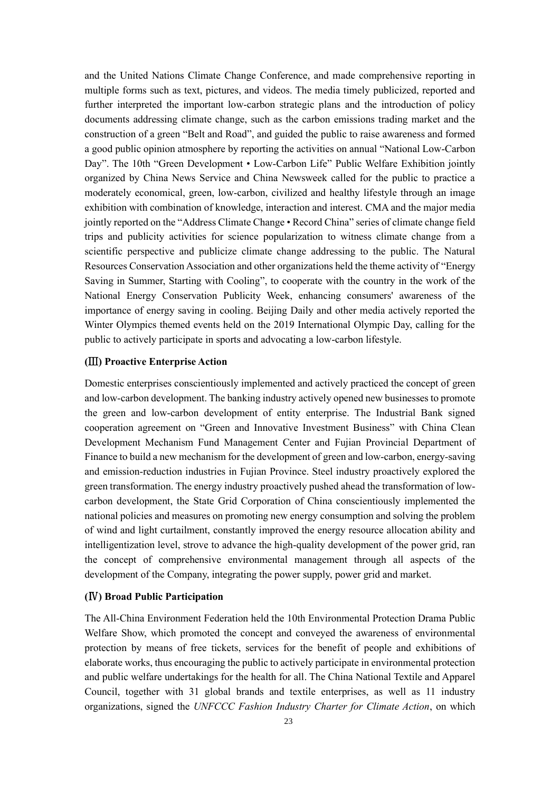and the United Nations Climate Change Conference, and made comprehensive reporting in multiple forms such as text, pictures, and videos. The media timely publicized, reported and further interpreted the important low-carbon strategic plans and the introduction of policy documents addressing climate change, such as the carbon emissions trading market and the construction of a green "Belt and Road", and guided the public to raise awareness and formed a good public opinion atmosphere by reporting the activities on annual "National Low-Carbon Day". The 10th "Green Development • Low-Carbon Life" Public Welfare Exhibition jointly organized by China News Service and China Newsweek called for the public to practice a moderately economical, green, low-carbon, civilized and healthy lifestyle through an image exhibition with combination of knowledge, interaction and interest. CMA and the major media jointly reported on the "Address Climate Change • Record China" series of climate change field trips and publicity activities for science popularization to witness climate change from a scientific perspective and publicize climate change addressing to the public. The Natural Resources Conservation Association and other organizations held the theme activity of "Energy Saving in Summer, Starting with Cooling", to cooperate with the country in the work of the National Energy Conservation Publicity Week, enhancing consumers' awareness of the importance of energy saving in cooling. Beijing Daily and other media actively reported the Winter Olympics themed events held on the 2019 International Olympic Day, calling for the public to actively participate in sports and advocating a low-carbon lifestyle.

### <span id="page-25-0"></span>**(**Ⅲ**) Proactive Enterprise Action**

Domestic enterprises conscientiously implemented and actively practiced the concept of green and low-carbon development. The banking industry actively opened new businesses to promote the green and low-carbon development of entity enterprise. The Industrial Bank signed cooperation agreement on "Green and Innovative Investment Business" with China Clean Development Mechanism Fund Management Center and Fujian Provincial Department of Finance to build a new mechanism for the development of green and low-carbon, energy-saving and emission-reduction industries in Fujian Province. Steel industry proactively explored the green transformation. The energy industry proactively pushed ahead the transformation of lowcarbon development, the State Grid Corporation of China conscientiously implemented the national policies and measures on promoting new energy consumption and solving the problem of wind and light curtailment, constantly improved the energy resource allocation ability and intelligentization level, strove to advance the high-quality development of the power grid, ran the concept of comprehensive environmental management through all aspects of the development of the Company, integrating the power supply, power grid and market.

# <span id="page-25-1"></span>**(**Ⅳ**) Broad Public Participation**

The All-China Environment Federation held the 10th Environmental Protection Drama Public Welfare Show, which promoted the concept and conveyed the awareness of environmental protection by means of free tickets, services for the benefit of people and exhibitions of elaborate works, thus encouraging the public to actively participate in environmental protection and public welfare undertakings for the health for all. The China National Textile and Apparel Council, together with 31 global brands and textile enterprises, as well as 11 industry organizations, signed the *UNFCCC Fashion Industry Charter for Climate Action*, on which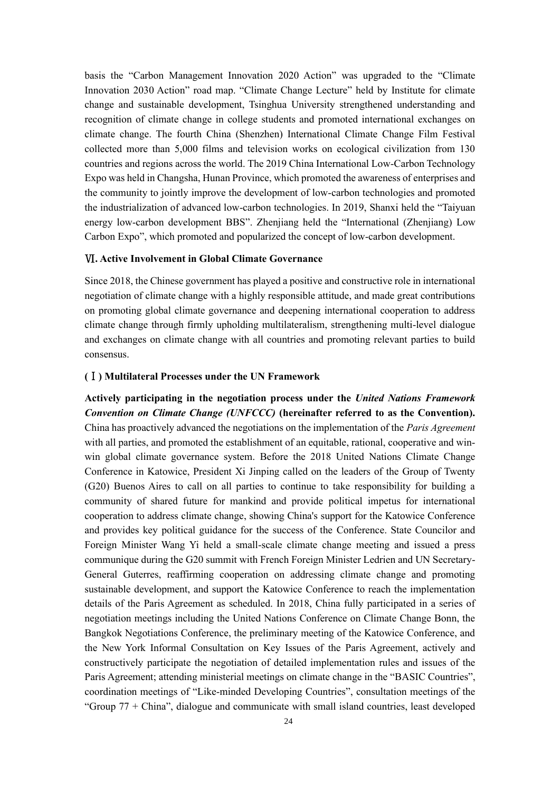basis the "Carbon Management Innovation 2020 Action" was upgraded to the "Climate Innovation 2030 Action" road map. "Climate Change Lecture" held by Institute for climate change and sustainable development, Tsinghua University strengthened understanding and recognition of climate change in college students and promoted international exchanges on climate change. The fourth China (Shenzhen) International Climate Change Film Festival collected more than 5,000 films and television works on ecological civilization from 130 countries and regions across the world. The 2019 China International Low-Carbon Technology Expo was held in Changsha, Hunan Province, which promoted the awareness of enterprises and the community to jointly improve the development of low-carbon technologies and promoted the industrialization of advanced low-carbon technologies. In 2019, Shanxi held the "Taiyuan energy low-carbon development BBS". Zhenjiang held the "International (Zhenjiang) Low Carbon Expo", which promoted and popularized the concept of low-carbon development.

#### <span id="page-26-0"></span>Ⅵ**. Active Involvement in Global Climate Governance**

Since 2018, the Chinese government has played a positive and constructive role in international negotiation of climate change with a highly responsible attitude, and made great contributions on promoting global climate governance and deepening international cooperation to address climate change through firmly upholding multilateralism, strengthening multi-level dialogue and exchanges on climate change with all countries and promoting relevant parties to build consensus.

# <span id="page-26-1"></span>**(**Ⅰ**) Multilateral Processes under the UN Framework**

**Actively participating in the negotiation process under the** *United Nations Framework Convention on Climate Change (UNFCCC)* **(hereinafter referred to as the Convention).**  China has proactively advanced the negotiations on the implementation of the *Paris Agreement* with all parties, and promoted the establishment of an equitable, rational, cooperative and winwin global climate governance system. Before the 2018 United Nations Climate Change Conference in Katowice, President Xi Jinping called on the leaders of the Group of Twenty (G20) Buenos Aires to call on all parties to continue to take responsibility for building a community of shared future for mankind and provide political impetus for international cooperation to address climate change, showing China's support for the Katowice Conference and provides key political guidance for the success of the Conference. State Councilor and Foreign Minister Wang Yi held a small-scale climate change meeting and issued a press communique during the G20 summit with French Foreign Minister Ledrien and UN Secretary-General Guterres, reaffirming cooperation on addressing climate change and promoting sustainable development, and support the Katowice Conference to reach the implementation details of the Paris Agreement as scheduled. In 2018, China fully participated in a series of negotiation meetings including the United Nations Conference on Climate Change Bonn, the Bangkok Negotiations Conference, the preliminary meeting of the Katowice Conference, and the New York Informal Consultation on Key Issues of the Paris Agreement, actively and constructively participate the negotiation of detailed implementation rules and issues of the Paris Agreement; attending ministerial meetings on climate change in the "BASIC Countries", coordination meetings of "Like-minded Developing Countries", consultation meetings of the "Group 77 + China", dialogue and communicate with small island countries, least developed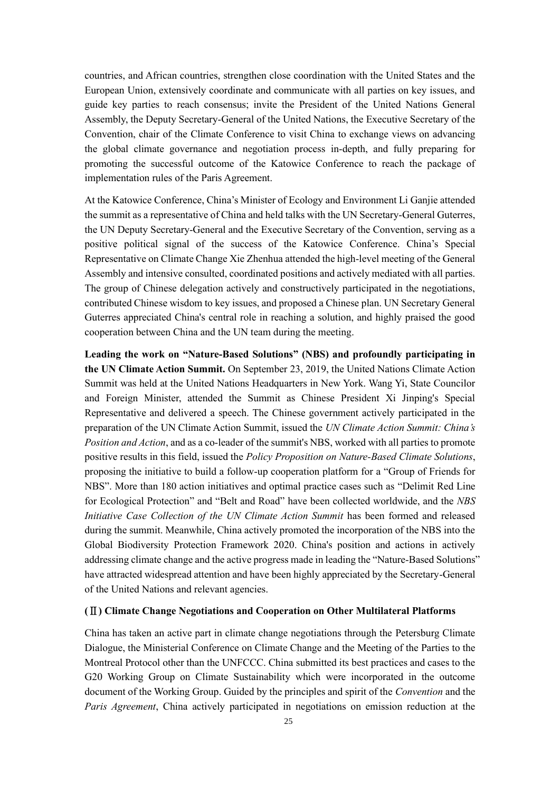countries, and African countries, strengthen close coordination with the United States and the European Union, extensively coordinate and communicate with all parties on key issues, and guide key parties to reach consensus; invite the President of the United Nations General Assembly, the Deputy Secretary-General of the United Nations, the Executive Secretary of the Convention, chair of the Climate Conference to visit China to exchange views on advancing the global climate governance and negotiation process in-depth, and fully preparing for promoting the successful outcome of the Katowice Conference to reach the package of implementation rules of the Paris Agreement.

At the Katowice Conference, China's Minister of Ecology and Environment Li Ganjie attended the summit as a representative of China and held talks with the UN Secretary-General Guterres, the UN Deputy Secretary-General and the Executive Secretary of the Convention, serving as a positive political signal of the success of the Katowice Conference. China's Special Representative on Climate Change Xie Zhenhua attended the high-level meeting of the General Assembly and intensive consulted, coordinated positions and actively mediated with all parties. The group of Chinese delegation actively and constructively participated in the negotiations, contributed Chinese wisdom to key issues, and proposed a Chinese plan. UN Secretary General Guterres appreciated China's central role in reaching a solution, and highly praised the good cooperation between China and the UN team during the meeting.

**Leading the work on "Nature-Based Solutions" (NBS) and profoundly participating in the UN Climate Action Summit.** On September 23, 2019, the United Nations Climate Action Summit was held at the United Nations Headquarters in New York. Wang Yi, State Councilor and Foreign Minister, attended the Summit as Chinese President Xi Jinping's Special Representative and delivered a speech. The Chinese government actively participated in the preparation of the UN Climate Action Summit, issued the *UN Climate Action Summit: China's Position and Action*, and as a co-leader of the summit's NBS, worked with all parties to promote positive results in this field, issued the *Policy Proposition on Nature-Based Climate Solutions*, proposing the initiative to build a follow-up cooperation platform for a "Group of Friends for NBS". More than 180 action initiatives and optimal practice cases such as "Delimit Red Line for Ecological Protection" and "Belt and Road" have been collected worldwide, and the *NBS Initiative Case Collection of the UN Climate Action Summit* has been formed and released during the summit. Meanwhile, China actively promoted the incorporation of the NBS into the Global Biodiversity Protection Framework 2020. China's position and actions in actively addressing climate change and the active progress made in leading the "Nature-Based Solutions" have attracted widespread attention and have been highly appreciated by the Secretary-General of the United Nations and relevant agencies.

#### <span id="page-27-0"></span>**(**Ⅱ**) Climate Change Negotiations and Cooperation on Other Multilateral Platforms**

China has taken an active part in climate change negotiations through the Petersburg Climate Dialogue, the Ministerial Conference on Climate Change and the Meeting of the Parties to the Montreal Protocol other than the UNFCCC. China submitted its best practices and cases to the G20 Working Group on Climate Sustainability which were incorporated in the outcome document of the Working Group. Guided by the principles and spirit of the *Convention* and the *Paris Agreement*, China actively participated in negotiations on emission reduction at the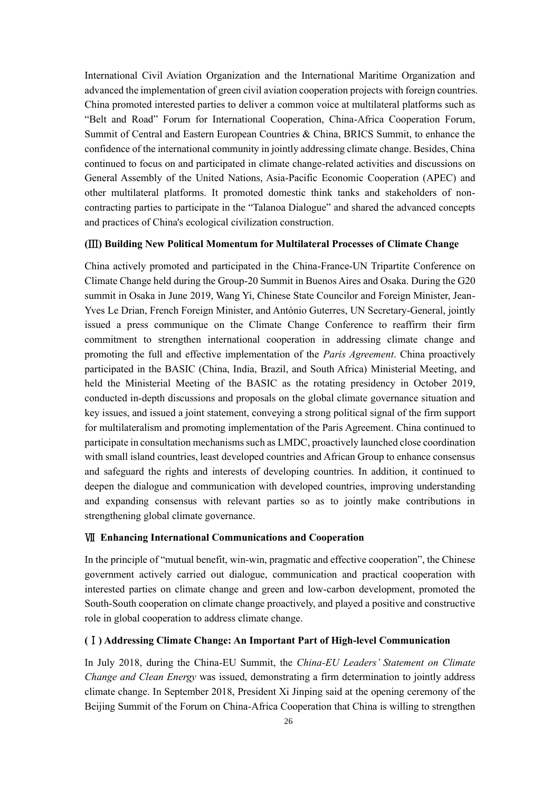International Civil Aviation Organization and the International Maritime Organization and advanced the implementation of green civil aviation cooperation projects with foreign countries. China promoted interested parties to deliver a common voice at multilateral platforms such as "Belt and Road" Forum for International Cooperation, China-Africa Cooperation Forum, Summit of Central and Eastern European Countries & China, BRICS Summit, to enhance the confidence of the international community in jointly addressing climate change. Besides, China continued to focus on and participated in climate change-related activities and discussions on General Assembly of the United Nations, Asia-Pacific Economic Cooperation (APEC) and other multilateral platforms. It promoted domestic think tanks and stakeholders of noncontracting parties to participate in the "Talanoa Dialogue" and shared the advanced concepts and practices of China's ecological civilization construction.

# <span id="page-28-0"></span>**(**Ⅲ**) Building New Political Momentum for Multilateral Processes of Climate Change**

China actively promoted and participated in the China-France-UN Tripartite Conference on Climate Change held during the Group-20 Summit in Buenos Aires and Osaka. During the G20 summit in Osaka in June 2019, Wang Yi, Chinese State Councilor and Foreign Minister, Jean-Yves Le Drian, French Foreign Minister, and António Guterres, UN Secretary-General, jointly issued a press communique on the Climate Change Conference to reaffirm their firm commitment to strengthen international cooperation in addressing climate change and promoting the full and effective implementation of the *Paris Agreement*. China proactively participated in the BASIC (China, India, Brazil, and South Africa) Ministerial Meeting, and held the Ministerial Meeting of the BASIC as the rotating presidency in October 2019, conducted in-depth discussions and proposals on the global climate governance situation and key issues, and issued a joint statement, conveying a strong political signal of the firm support for multilateralism and promoting implementation of the Paris Agreement. China continued to participate in consultation mechanisms such as LMDC, proactively launched close coordination with small island countries, least developed countries and African Group to enhance consensus and safeguard the rights and interests of developing countries. In addition, it continued to deepen the dialogue and communication with developed countries, improving understanding and expanding consensus with relevant parties so as to jointly make contributions in strengthening global climate governance.

#### <span id="page-28-1"></span>Ⅶ **Enhancing International Communications and Cooperation**

In the principle of "mutual benefit, win-win, pragmatic and effective cooperation", the Chinese government actively carried out dialogue, communication and practical cooperation with interested parties on climate change and green and low-carbon development, promoted the South-South cooperation on climate change proactively, and played a positive and constructive role in global cooperation to address climate change.

#### <span id="page-28-2"></span>**(**Ⅰ**) Addressing Climate Change: An Important Part of High-level Communication**

In July 2018, during the China-EU Summit, the *China-EU Leaders' Statement on Climate Change and Clean Energy* was issued, demonstrating a firm determination to jointly address climate change. In September 2018, President Xi Jinping said at the opening ceremony of the Beijing Summit of the Forum on China-Africa Cooperation that China is willing to strengthen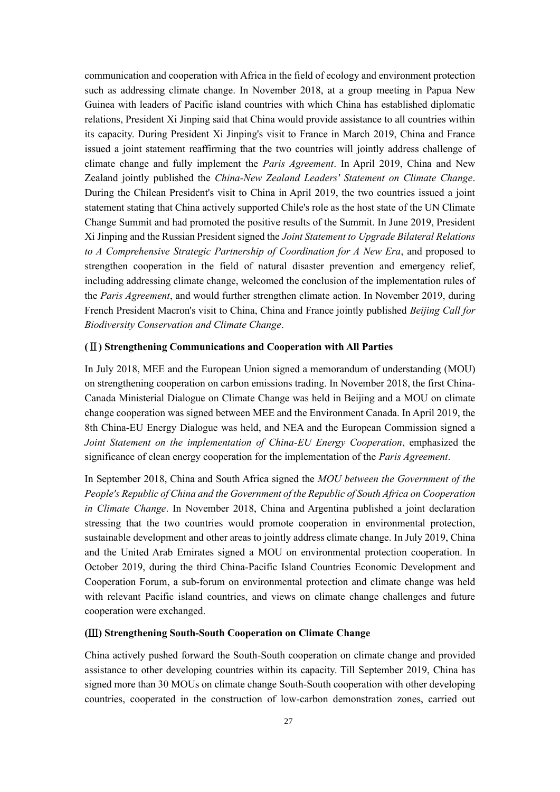communication and cooperation with Africa in the field of ecology and environment protection such as addressing climate change. In November 2018, at a group meeting in Papua New Guinea with leaders of Pacific island countries with which China has established diplomatic relations, President Xi Jinping said that China would provide assistance to all countries within its capacity. During President Xi Jinping's visit to France in March 2019, China and France issued a joint statement reaffirming that the two countries will jointly address challenge of climate change and fully implement the *Paris Agreement*. In April 2019, China and New Zealand jointly published the *China-New Zealand Leaders' Statement on Climate Change*. During the Chilean President's visit to China in April 2019, the two countries issued a joint statement stating that China actively supported Chile's role as the host state of the UN Climate Change Summit and had promoted the positive results of the Summit. In June 2019, President Xi Jinping and the Russian President signed the *Joint Statement to Upgrade Bilateral Relations to A Comprehensive Strategic Partnership of Coordination for A New Era*, and proposed to strengthen cooperation in the field of natural disaster prevention and emergency relief, including addressing climate change, welcomed the conclusion of the implementation rules of the *Paris Agreement*, and would further strengthen climate action. In November 2019, during French President Macron's visit to China, China and France jointly published *Beijing Call for Biodiversity Conservation and Climate Change*.

# <span id="page-29-0"></span>**(**Ⅱ**) Strengthening Communications and Cooperation with All Parties**

In July 2018, MEE and the European Union signed a memorandum of understanding (MOU) on strengthening cooperation on carbon emissions trading. In November 2018, the first China-Canada Ministerial Dialogue on Climate Change was held in Beijing and a MOU on climate change cooperation was signed between MEE and the Environment Canada. In April 2019, the 8th China-EU Energy Dialogue was held, and NEA and the European Commission signed a *Joint Statement on the implementation of China-EU Energy Cooperation*, emphasized the significance of clean energy cooperation for the implementation of the *Paris Agreement*.

In September 2018, China and South Africa signed the *MOU between the Government of the People's Republic of China and the Government of the Republic of South Africa on Cooperation in Climate Change*. In November 2018, China and Argentina published a joint declaration stressing that the two countries would promote cooperation in environmental protection, sustainable development and other areas to jointly address climate change. In July 2019, China and the United Arab Emirates signed a MOU on environmental protection cooperation. In October 2019, during the third China-Pacific Island Countries Economic Development and Cooperation Forum, a sub-forum on environmental protection and climate change was held with relevant Pacific island countries, and views on climate change challenges and future cooperation were exchanged.

# <span id="page-29-1"></span>**(**Ⅲ**) Strengthening South-South Cooperation on Climate Change**

China actively pushed forward the South-South cooperation on climate change and provided assistance to other developing countries within its capacity. Till September 2019, China has signed more than 30 MOUs on climate change South-South cooperation with other developing countries, cooperated in the construction of low-carbon demonstration zones, carried out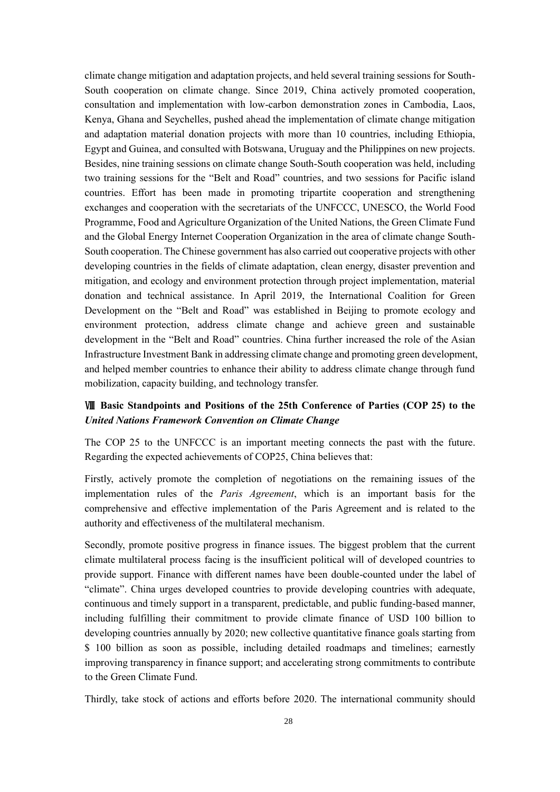climate change mitigation and adaptation projects, and held several training sessions for South-South cooperation on climate change. Since 2019, China actively promoted cooperation, consultation and implementation with low-carbon demonstration zones in Cambodia, Laos, Kenya, Ghana and Seychelles, pushed ahead the implementation of climate change mitigation and adaptation material donation projects with more than 10 countries, including Ethiopia, Egypt and Guinea, and consulted with Botswana, Uruguay and the Philippines on new projects. Besides, nine training sessions on climate change South-South cooperation was held, including two training sessions for the "Belt and Road" countries, and two sessions for Pacific island countries. Effort has been made in promoting tripartite cooperation and strengthening exchanges and cooperation with the secretariats of the UNFCCC, UNESCO, the World Food Programme, Food and Agriculture Organization of the United Nations, the Green Climate Fund and the Global Energy Internet Cooperation Organization in the area of climate change South-South cooperation. The Chinese government has also carried out cooperative projects with other developing countries in the fields of climate adaptation, clean energy, disaster prevention and mitigation, and ecology and environment protection through project implementation, material donation and technical assistance. In April 2019, the International Coalition for Green Development on the "Belt and Road" was established in Beijing to promote ecology and environment protection, address climate change and achieve green and sustainable development in the "Belt and Road" countries. China further increased the role of the Asian Infrastructure Investment Bank in addressing climate change and promoting green development, and helped member countries to enhance their ability to address climate change through fund mobilization, capacity building, and technology transfer.

# <span id="page-30-0"></span>Ⅷ **Basic Standpoints and Positions of the 25th Conference of Parties (COP 25) to the**  *United Nations Framework Convention on Climate Change*

The COP 25 to the UNFCCC is an important meeting connects the past with the future. Regarding the expected achievements of COP25, China believes that:

Firstly, actively promote the completion of negotiations on the remaining issues of the implementation rules of the *Paris Agreement*, which is an important basis for the comprehensive and effective implementation of the Paris Agreement and is related to the authority and effectiveness of the multilateral mechanism.

Secondly, promote positive progress in finance issues. The biggest problem that the current climate multilateral process facing is the insufficient political will of developed countries to provide support. Finance with different names have been double-counted under the label of "climate". China urges developed countries to provide developing countries with adequate, continuous and timely support in a transparent, predictable, and public funding-based manner, including fulfilling their commitment to provide climate finance of USD 100 billion to developing countries annually by 2020; new collective quantitative finance goals starting from \$ 100 billion as soon as possible, including detailed roadmaps and timelines; earnestly improving transparency in finance support; and accelerating strong commitments to contribute to the Green Climate Fund.

Thirdly, take stock of actions and efforts before 2020. The international community should